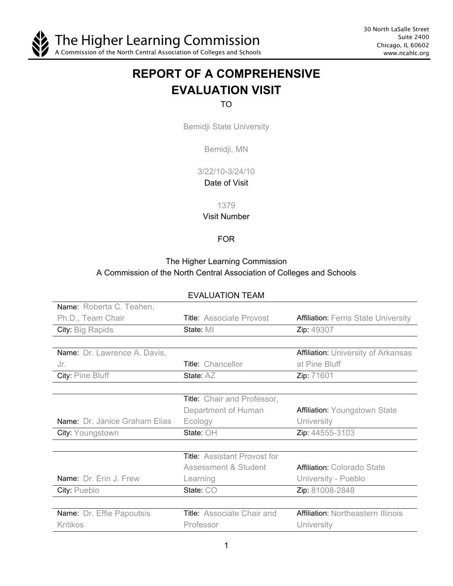

30 North LaSalle Street Suite 2400 Chicago, IL 60602 www.ncahlc.org

# **REPORT OF A COMPREHENSIVE EVALUATION VISIT**

# TO

Bemidji State University

Bemidji, MN

3/22/10-3/24/10

Date of Visit

1379

#### Visit Number

## FOR

# The Higher Learning Commission A Commission of the North Central Association of Colleges and Schools

| Name: Roberta C. Teahen,             |                                     |                                             |
|--------------------------------------|-------------------------------------|---------------------------------------------|
| Ph.D., Team Chair                    | <b>Title: Associate Provost</b>     | <b>Affiliation: Ferris State University</b> |
| City: Big Rapids                     | State: MI                           | Zip: 49307                                  |
|                                      |                                     |                                             |
| Name: Dr. Lawrence A. Davis,         |                                     | <b>Affiliation: University of Arkansas</b>  |
| Jr.                                  | Title: Chancellor                   | at Pine Bluff                               |
| City: Pine Bluff                     | State: AZ                           | Zip: 71601                                  |
|                                      |                                     |                                             |
|                                      | Title: Chair and Professor,         |                                             |
|                                      | Department of Human                 | <b>Affiliation: Youngstown State</b>        |
| <b>Name:</b> Dr. Janice Graham Elias | Ecology                             | University                                  |
| City: Youngstown                     | State: OH                           | Zip: 44555-3103                             |
|                                      |                                     |                                             |
|                                      | <b>Title:</b> Assistant Provost for |                                             |
|                                      | Assessment & Student                | <b>Affiliation: Colorado State</b>          |
| Name: Dr. Erin J. Frew               | Learning                            | University - Pueblo                         |
| City: Pueblo                         | State: CO                           | Zip: 81008-2848                             |
|                                      |                                     |                                             |
| Name: Dr. Effie Papoutsis            | <b>Title:</b> Associate Chair and   | <b>Affiliation: Northeastern Illinois</b>   |
| <b>Kritikos</b>                      | Professor                           | University                                  |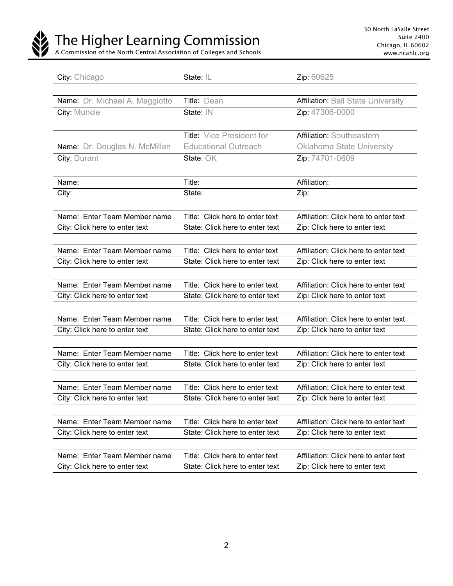

The Higher Learning Commission

A Commission of the North Central Association of Colleges and Schools

| City: Chicago                         | State: IL                       | Zip: 60625                                |
|---------------------------------------|---------------------------------|-------------------------------------------|
|                                       |                                 |                                           |
| <b>Name:</b> Dr. Michael A. Maggiotto | Title: Dean                     | <b>Affiliation: Ball State University</b> |
| City: Muncie                          | State: IN                       | Zip: 47306-0000                           |
|                                       |                                 |                                           |
|                                       | Title: Vice President for       | Affiliation: Southeastern                 |
| Name: Dr. Douglas N. McMillan         | <b>Educational Outreach</b>     | <b>Oklahoma State University</b>          |
| City: Durant                          | State: OK                       | Zip: 74701-0609                           |
|                                       |                                 |                                           |
| Name:                                 | Title:                          | Affiliation:                              |
| City:                                 | State:                          | Zip:                                      |
|                                       |                                 |                                           |
| Name: Enter Team Member name          | Title: Click here to enter text | Affiliation: Click here to enter text     |
| City: Click here to enter text        | State: Click here to enter text | Zip: Click here to enter text             |
|                                       |                                 |                                           |
| Name: Enter Team Member name          | Title: Click here to enter text | Affiliation: Click here to enter text     |
| City: Click here to enter text        | State: Click here to enter text | Zip: Click here to enter text             |
|                                       |                                 |                                           |
| Name: Enter Team Member name          | Title: Click here to enter text | Affiliation: Click here to enter text     |
| City: Click here to enter text        | State: Click here to enter text | Zip: Click here to enter text             |
|                                       |                                 |                                           |
| Name: Enter Team Member name          | Title: Click here to enter text | Affiliation: Click here to enter text     |
| City: Click here to enter text        | State: Click here to enter text | Zip: Click here to enter text             |
|                                       |                                 |                                           |
| Name: Enter Team Member name          | Title: Click here to enter text | Affiliation: Click here to enter text     |
| City: Click here to enter text        | State: Click here to enter text | Zip: Click here to enter text             |
|                                       |                                 |                                           |
| Name: Enter Team Member name          | Title: Click here to enter text | Affiliation: Click here to enter text     |
| City: Click here to enter text        | State: Click here to enter text | Zip: Click here to enter text             |
|                                       |                                 |                                           |
| Name: Enter Team Member name          | Title: Click here to enter text | Affiliation: Click here to enter text     |
| City: Click here to enter text        | State: Click here to enter text | Zip: Click here to enter text             |
|                                       |                                 |                                           |
| Name: Enter Team Member name          | Title: Click here to enter text | Affiliation: Click here to enter text     |
| City: Click here to enter text        | State: Click here to enter text | Zip: Click here to enter text             |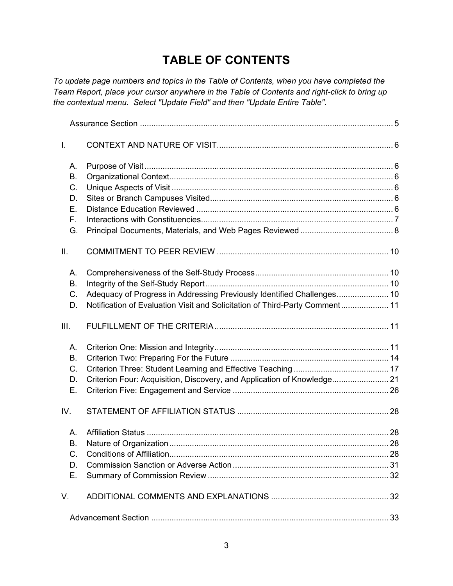# **TABLE OF CONTENTS**

*To update page numbers and topics in the Table of Contents, when you have completed the Team Report, place your cursor anywhere in the Table of Contents and right-click to bring up the contextual menu. Select "Update Field" and then "Update Entire Table".*

| T.   |                                                                             |  |
|------|-----------------------------------------------------------------------------|--|
| А.   |                                                                             |  |
| В.   |                                                                             |  |
| C.   |                                                                             |  |
| D.   |                                                                             |  |
| Е.   |                                                                             |  |
| F.   |                                                                             |  |
| G.   |                                                                             |  |
| Ш.   |                                                                             |  |
| А.   |                                                                             |  |
| В.   |                                                                             |  |
| C.   | Adequacy of Progress in Addressing Previously Identified Challenges 10      |  |
| D.   | Notification of Evaluation Visit and Solicitation of Third-Party Comment 11 |  |
| III. |                                                                             |  |
| А.   |                                                                             |  |
| В.   |                                                                             |  |
| C.   |                                                                             |  |
| D.   | Criterion Four: Acquisition, Discovery, and Application of Knowledge 21     |  |
| Е.   |                                                                             |  |
| IV.  |                                                                             |  |
| А.   |                                                                             |  |
| В.   |                                                                             |  |
| C.   |                                                                             |  |
| D.   |                                                                             |  |
| Е.   |                                                                             |  |
| V.   |                                                                             |  |
|      |                                                                             |  |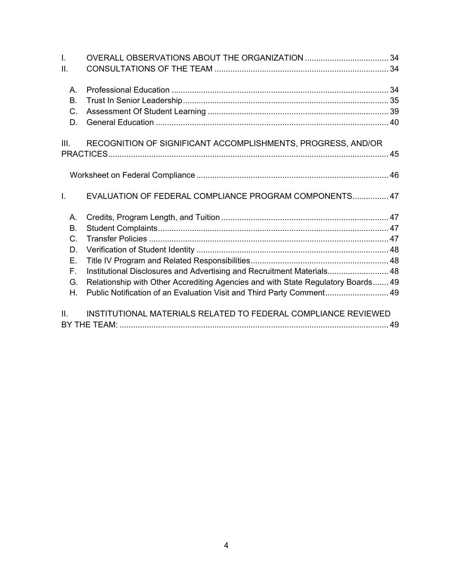| $\mathbf{L}$ |                                                                                  |  |
|--------------|----------------------------------------------------------------------------------|--|
| ΙΙ.          |                                                                                  |  |
| $A_{1}$      |                                                                                  |  |
| <b>B.</b>    |                                                                                  |  |
| $C_{\cdot}$  |                                                                                  |  |
| D.           |                                                                                  |  |
| III.         | RECOGNITION OF SIGNIFICANT ACCOMPLISHMENTS, PROGRESS, AND/OR                     |  |
|              |                                                                                  |  |
|              |                                                                                  |  |
| $\mathbf{L}$ | EVALUATION OF FEDERAL COMPLIANCE PROGRAM COMPONENTS 47                           |  |
| Α.           |                                                                                  |  |
| <b>B.</b>    |                                                                                  |  |
| $C_{\cdot}$  |                                                                                  |  |
| D.           |                                                                                  |  |
| Ε.           |                                                                                  |  |
| F.           | Institutional Disclosures and Advertising and Recruitment Materials 48           |  |
| G.           | Relationship with Other Accrediting Agencies and with State Regulatory Boards 49 |  |
| Η.           | Public Notification of an Evaluation Visit and Third Party Comment 49            |  |
| Ш.           | INSTITUTIONAL MATERIALS RELATED TO FEDERAL COMPLIANCE REVIEWED                   |  |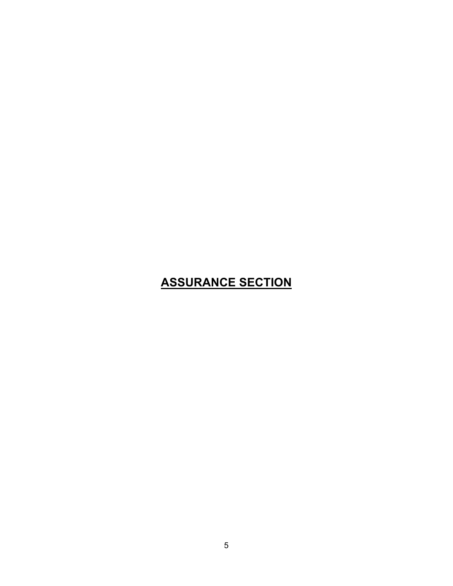# **ASSURANCE SECTION**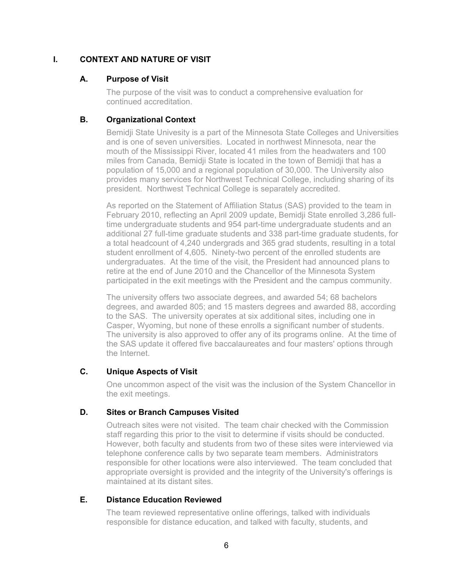# **I. CONTEXT AND NATURE OF VISIT**

# **A. Purpose of Visit**

The purpose of the visit was to conduct a comprehensive evaluation for continued accreditation.

# **B. Organizational Context**

Bemidji State Univesity is a part of the Minnesota State Colleges and Universities and is one of seven universities. Located in northwest Minnesota, near the mouth of the Mississippi River, located 41 miles from the headwaters and 100 miles from Canada, Bemidji State is located in the town of Bemidji that has a population of 15,000 and a regional population of 30,000. The University also provides many services for Northwest Technical College, including sharing of its president. Northwest Technical College is separately accredited.

As reported on the Statement of Affiliation Status (SAS) provided to the team in February 2010, reflecting an April 2009 update, Bemidji State enrolled 3,286 fulltime undergraduate students and 954 part-time undergraduate students and an additional 27 full-time graduate students and 338 part-time graduate students, for a total headcount of 4,240 undergrads and 365 grad students, resulting in a total student enrollment of 4,605. Ninety-two percent of the enrolled students are undergraduates. At the time of the visit, the President had announced plans to retire at the end of June 2010 and the Chancellor of the Minnesota System participated in the exit meetings with the President and the campus community.

The university offers two associate degrees, and awarded 54; 68 bachelors degrees, and awarded 805; and 15 masters degrees and awarded 88, according to the SAS. The university operates at six additional sites, including one in Casper, Wyoming, but none of these enrolls a significant number of students. The university is also approved to offer any of its programs online. At the time of the SAS update it offered five baccalaureates and four masters' options through the Internet.

# **C. Unique Aspects of Visit**

One uncommon aspect of the visit was the inclusion of the System Chancellor in the exit meetings.

# **D. Sites or Branch Campuses Visited**

Outreach sites were not visited. The team chair checked with the Commission staff regarding this prior to the visit to determine if visits should be conducted. However, both faculty and students from two of these sites were interviewed via telephone conference calls by two separate team members. Administrators responsible for other locations were also interviewed. The team concluded that appropriate oversight is provided and the integrity of the University's offerings is maintained at its distant sites.

# **E. Distance Education Reviewed**

The team reviewed representative online offerings, talked with individuals responsible for distance education, and talked with faculty, students, and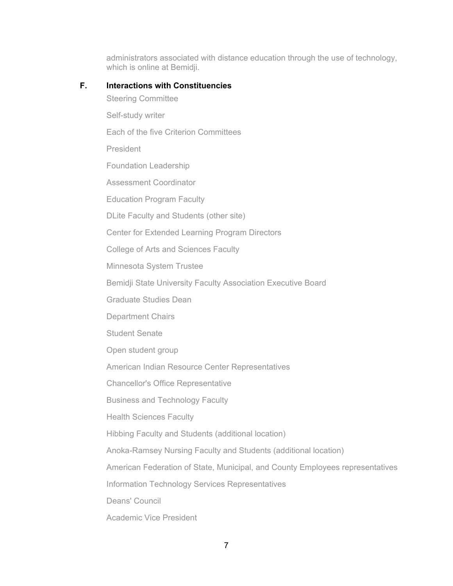administrators associated with distance education through the use of technology, which is online at Bemidji.

## **F. Interactions with Constituencies**

Steering Committee Self-study writer Each of the five Criterion Committees President Foundation Leadership Assessment Coordinator Education Program Faculty DLite Faculty and Students (other site) Center for Extended Learning Program Directors College of Arts and Sciences Faculty Minnesota System Trustee Bemidji State University Faculty Association Executive Board Graduate Studies Dean Department Chairs Student Senate Open student group American Indian Resource Center Representatives Chancellor's Office Representative Business and Technology Faculty Health Sciences Faculty Hibbing Faculty and Students (additional location) Anoka-Ramsey Nursing Faculty and Students (additional location) American Federation of State, Municipal, and County Employees representatives

Information Technology Services Representatives

Deans' Council

Academic Vice President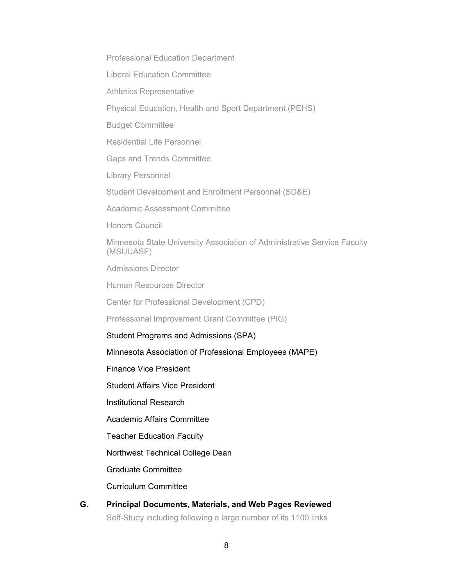Professional Education Department

Liberal Education Committee

Athletics Representative

Physical Education, Health and Sport Department (PEHS)

Budget Committee

Residential Life Personnel

Gaps and Trends Committee

Library Personnel

Student Development and Enrollment Personnel (SD&E)

Academic Assessment Committee

Honors Council

Minnesota State University Association of Administrative Service Faculty (MSUUASF)

Admissions Director

Human Resources Director

Center for Professional Development (CPD)

Professional Improvement Grant Committee (PIG)

Student Programs and Admissions (SPA)

Minnesota Association of Professional Employees (MAPE)

Finance Vice President

Student Affairs Vice President

Institutional Research

Academic Affairs Committee

Teacher Education Faculty

Northwest Technical College Dean

Graduate Committee

Curriculum Committee

**G. Principal Documents, Materials, and Web Pages Reviewed** Self-Study including following a large number of its 1100 links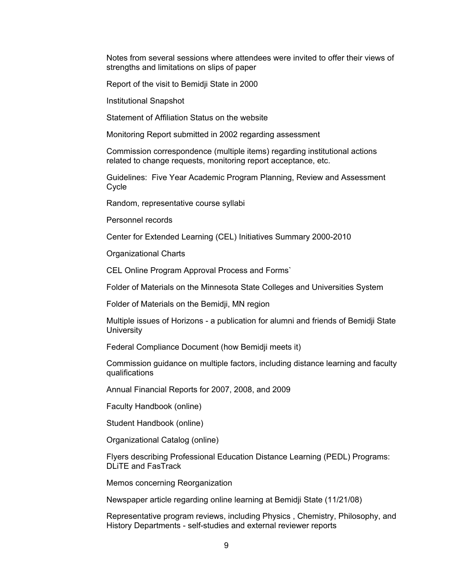Notes from several sessions where attendees were invited to offer their views of strengths and limitations on slips of paper

Report of the visit to Bemidji State in 2000

Institutional Snapshot

Statement of Affiliation Status on the website

Monitoring Report submitted in 2002 regarding assessment

Commission correspondence (multiple items) regarding institutional actions related to change requests, monitoring report acceptance, etc.

Guidelines: Five Year Academic Program Planning, Review and Assessment Cycle

Random, representative course syllabi

Personnel records

Center for Extended Learning (CEL) Initiatives Summary 2000-2010

Organizational Charts

CEL Online Program Approval Process and Forms`

Folder of Materials on the Minnesota State Colleges and Universities System

Folder of Materials on the Bemidji, MN region

Multiple issues of Horizons - a publication for alumni and friends of Bemidji State **University** 

Federal Compliance Document (how Bemidji meets it)

Commission guidance on multiple factors, including distance learning and faculty qualifications

Annual Financial Reports for 2007, 2008, and 2009

Faculty Handbook (online)

Student Handbook (online)

Organizational Catalog (online)

Flyers describing Professional Education Distance Learning (PEDL) Programs: DLiTE and FasTrack

Memos concerning Reorganization

Newspaper article regarding online learning at Bemidji State (11/21/08)

Representative program reviews, including Physics , Chemistry, Philosophy, and History Departments - self-studies and external reviewer reports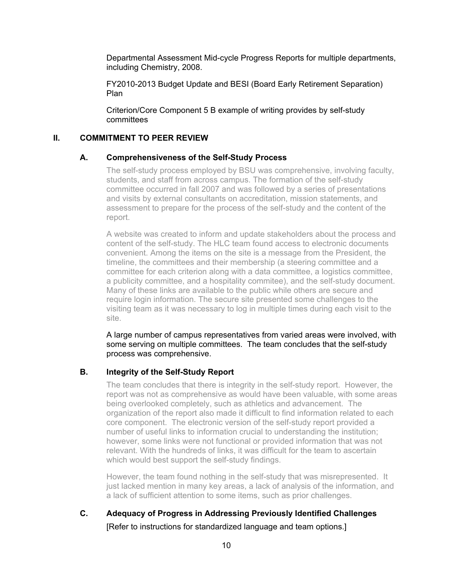Departmental Assessment Mid-cycle Progress Reports for multiple departments, including Chemistry, 2008.

FY2010-2013 Budget Update and BESI (Board Early Retirement Separation) Plan

Criterion/Core Component 5 B example of writing provides by self-study committees

## **II. COMMITMENT TO PEER REVIEW**

#### **A. Comprehensiveness of the Self-Study Process**

The self-study process employed by BSU was comprehensive, involving faculty, students, and staff from across campus. The formation of the self-study committee occurred in fall 2007 and was followed by a series of presentations and visits by external consultants on accreditation, mission statements, and assessment to prepare for the process of the self-study and the content of the report.

A website was created to inform and update stakeholders about the process and content of the self-study. The HLC team found access to electronic documents convenient. Among the items on the site is a message from the President, the timeline, the committees and their membership (a steering committee and a committee for each criterion along with a data committee, a logistics committee, a publicity committee, and a hospitality commitee), and the self-study document. Many of these links are available to the public while others are secure and require login information. The secure site presented some challenges to the visiting team as it was necessary to log in multiple times during each visit to the site.

A large number of campus representatives from varied areas were involved, with some serving on multiple committees. The team concludes that the self-study process was comprehensive.

## **B. Integrity of the Self-Study Report**

The team concludes that there is integrity in the self-study report. However, the report was not as comprehensive as would have been valuable, with some areas being overlooked completely, such as athletics and advancement. The organization of the report also made it difficult to find information related to each core component. The electronic version of the self-study report provided a number of useful links to information crucial to understanding the institution; however, some links were not functional or provided information that was not relevant. With the hundreds of links, it was difficult for the team to ascertain which would best support the self-study findings.

However, the team found nothing in the self-study that was misrepresented. It just lacked mention in many key areas, a lack of analysis of the information, and a lack of sufficient attention to some items, such as prior challenges.

**C. Adequacy of Progress in Addressing Previously Identified Challenges**  [Refer to instructions for standardized language and team options.]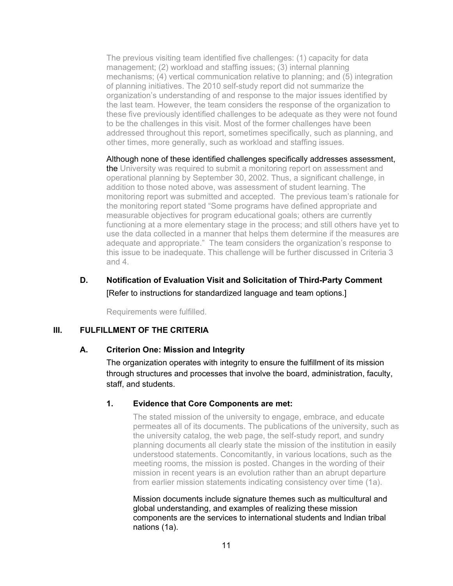The previous visiting team identified five challenges: (1) capacity for data management; (2) workload and staffing issues; (3) internal planning mechanisms; (4) vertical communication relative to planning; and (5) integration of planning initiatives. The 2010 self-study report did not summarize the organization's understanding of and response to the major issues identified by the last team. However, the team considers the response of the organization to these five previously identified challenges to be adequate as they were not found to be the challenges in this visit. Most of the former challenges have been addressed throughout this report, sometimes specifically, such as planning, and other times, more generally, such as workload and staffing issues.

Although none of these identified challenges specifically addresses assessment, the University was required to submit a monitoring report on assessment and operational planning by September 30, 2002. Thus, a significant challenge, in addition to those noted above, was assessment of student learning. The monitoring report was submitted and accepted. The previous team's rationale for the monitoring report stated "Some programs have defined appropriate and measurable objectives for program educational goals; others are currently functioning at a more elementary stage in the process; and still others have yet to use the data collected in a manner that helps them determine if the measures are adequate and appropriate." The team considers the organization's response to this issue to be inadequate. This challenge will be further discussed in Criteria 3 and 4.

# **D. Notification of Evaluation Visit and Solicitation of Third-Party Comment** [Refer to instructions for standardized language and team options.]

Requirements were fulfilled.

## **III. FULFILLMENT OF THE CRITERIA**

## **A. Criterion One: Mission and Integrity**

The organization operates with integrity to ensure the fulfillment of its mission through structures and processes that involve the board, administration, faculty, staff, and students.

## **1. Evidence that Core Components are met:**

The stated mission of the university to engage, embrace, and educate permeates all of its documents. The publications of the university, such as the university catalog, the web page, the self-study report, and sundry planning documents all clearly state the mission of the institution in easily understood statements. Concomitantly, in various locations, such as the meeting rooms, the mission is posted. Changes in the wording of their mission in recent years is an evolution rather than an abrupt departure from earlier mission statements indicating consistency over time (1a).

Mission documents include signature themes such as multicultural and global understanding, and examples of realizing these mission components are the services to international students and Indian tribal nations (1a).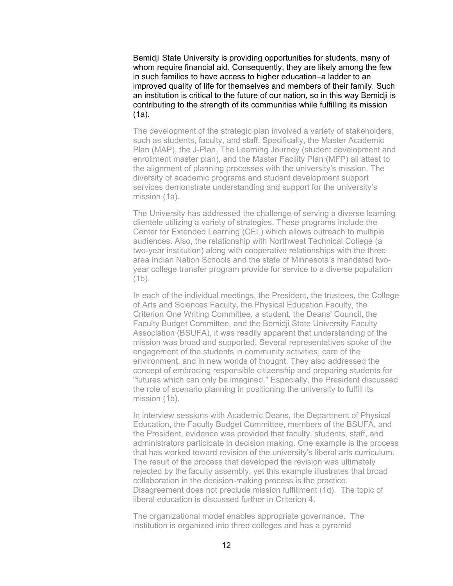Bemidji State University is providing opportunities for students, many of whom require financial aid. Consequently, they are likely among the few in such families to have access to higher education–a ladder to an improved quality of life for themselves and members of their family. Such an institution is critical to the future of our nation, so in this way Bemidji is contributing to the strength of its communities while fulfilling its mission (1a).

The development of the strategic plan involved a variety of stakeholders, such as students, faculty, and staff. Specifically, the Master Academic Plan (MAP), the J-Plan, The Learning Journey (student development and enrollment master plan), and the Master Facility Plan (MFP) all attest to the alignment of planning processes with the university's mission. The diversity of academic programs and student development support services demonstrate understanding and support for the university's mission (1a).

The University has addressed the challenge of serving a diverse learning clientele utilizing a variety of strategies. These programs include the Center for Extended Learning (CEL) which allows outreach to multiple audiences. Also, the relationship with Northwest Technical College (a two-year institution) along with cooperative relationships with the three area Indian Nation Schools and the state of Minnesota's mandated twoyear college transfer program provide for service to a diverse population (1b).

In each of the individual meetings, the President, the trustees, the College of Arts and Sciences Faculty, the Physical Education Faculty, the Criterion One Writing Committee, a student, the Deans' Council, the Faculty Budget Committee, and the Bemidji State University Faculty Association (BSUFA), it was readily apparent that understanding of the mission was broad and supported. Several representatives spoke of the engagement of the students in community activities, care of the environment, and in new worlds of thought. They also addressed the concept of embracing responsible citizenship and preparing students for "futures which can only be imagined." Especially, the President discussed the role of scenario planning in positioning the university to fulfill its mission (1b).

In interview sessions with Academic Deans, the Department of Physical Education, the Faculty Budget Committee, members of the BSUFA, and the President, evidence was provided that faculty, students, staff, and administrators participate in decision making. One example is the process that has worked toward revision of the university's liberal arts curriculum. The result of the process that developed the revision was ultimately rejected by the faculty assembly, yet this example illustrates that broad collaboration in the decision-making process is the practice. Disagreement does not preclude mission fulfillment (1d). The topic of liberal education is discussed further in Criterion 4.

The organizational model enables appropriate governance. The institution is organized into three colleges and has a pyramid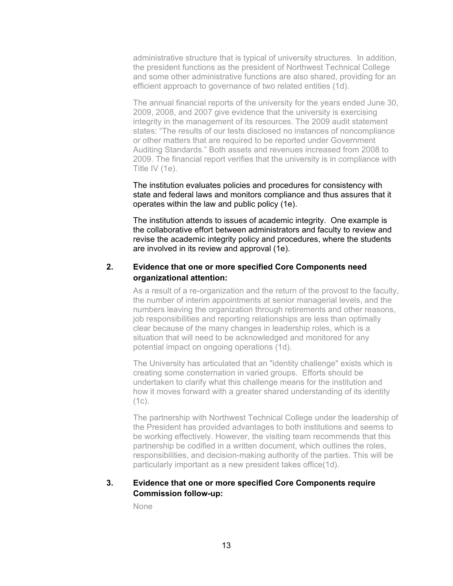administrative structure that is typical of university structures. In addition, the president functions as the president of Northwest Technical College and some other administrative functions are also shared, providing for an efficient approach to governance of two related entities (1d).

The annual financial reports of the university for the years ended June 30, 2009, 2008, and 2007 give evidence that the university is exercising integrity in the management of its resources. The 2009 audit statement states: "The results of our tests disclosed no instances of noncompliance or other matters that are required to be reported under Government Auditing Standards." Both assets and revenues increased from 2008 to 2009. The financial report verifies that the university is in compliance with Title IV (1e).

The institution evaluates policies and procedures for consistency with state and federal laws and monitors compliance and thus assures that it operates within the law and public policy (1e).

The institution attends to issues of academic integrity. One example is the collaborative effort between administrators and faculty to review and revise the academic integrity policy and procedures, where the students are involved in its review and approval (1e).

## **2. Evidence that one or more specified Core Components need organizational attention:**

As a result of a re-organization and the return of the provost to the faculty, the number of interim appointments at senior managerial levels, and the numbers leaving the organization through retirements and other reasons, job responsibilities and reporting relationships are less than optimally clear because of the many changes in leadership roles, which is a situation that will need to be acknowledged and monitored for any potential impact on ongoing operations (1d).

The University has articulated that an "identity challenge" exists which is creating some consternation in varied groups. Efforts should be undertaken to clarify what this challenge means for the institution and how it moves forward with a greater shared understanding of its identity  $(1c)$ .

The partnership with Northwest Technical College under the leadership of the President has provided advantages to both institutions and seems to be working effectively. However, the visiting team recommends that this partnership be codified in a written document, which outlines the roles, responsibilities, and decision-making authority of the parties. This will be particularly important as a new president takes office(1d).

## **3. Evidence that one or more specified Core Components require Commission follow-up:**

None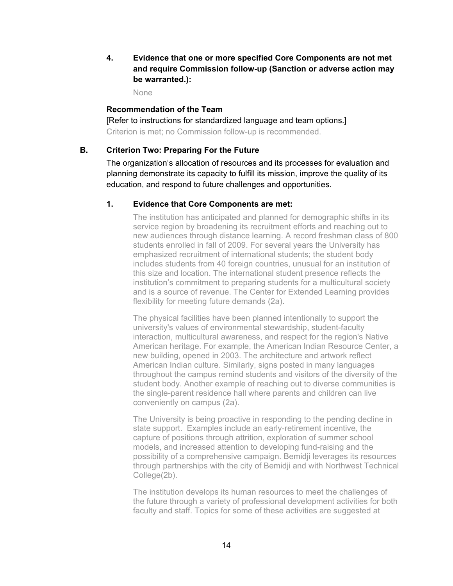**4. Evidence that one or more specified Core Components are not met and require Commission follow-up (Sanction or adverse action may be warranted.):**

None

### **Recommendation of the Team**

[Refer to instructions for standardized language and team options.] Criterion is met; no Commission follow-up is recommended.

## **B. Criterion Two: Preparing For the Future**

The organization's allocation of resources and its processes for evaluation and planning demonstrate its capacity to fulfill its mission, improve the quality of its education, and respond to future challenges and opportunities.

#### **1. Evidence that Core Components are met:**

The institution has anticipated and planned for demographic shifts in its service region by broadening its recruitment efforts and reaching out to new audiences through distance learning. A record freshman class of 800 students enrolled in fall of 2009. For several years the University has emphasized recruitment of international students; the student body includes students from 40 foreign countries, unusual for an institution of this size and location. The international student presence reflects the institution's commitment to preparing students for a multicultural society and is a source of revenue. The Center for Extended Learning provides flexibility for meeting future demands (2a).

The physical facilities have been planned intentionally to support the university's values of environmental stewardship, student-faculty interaction, multicultural awareness, and respect for the region's Native American heritage. For example, the American Indian Resource Center, a new building, opened in 2003. The architecture and artwork reflect American Indian culture. Similarly, signs posted in many languages throughout the campus remind students and visitors of the diversity of the student body. Another example of reaching out to diverse communities is the single-parent residence hall where parents and children can live conveniently on campus (2a).

The University is being proactive in responding to the pending decline in state support. Examples include an early-retirement incentive, the capture of positions through attrition, exploration of summer school models, and increased attention to developing fund-raising and the possibility of a comprehensive campaign. Bemidji leverages its resources through partnerships with the city of Bemidji and with Northwest Technical College(2b).

The institution develops its human resources to meet the challenges of the future through a variety of professional development activities for both faculty and staff. Topics for some of these activities are suggested at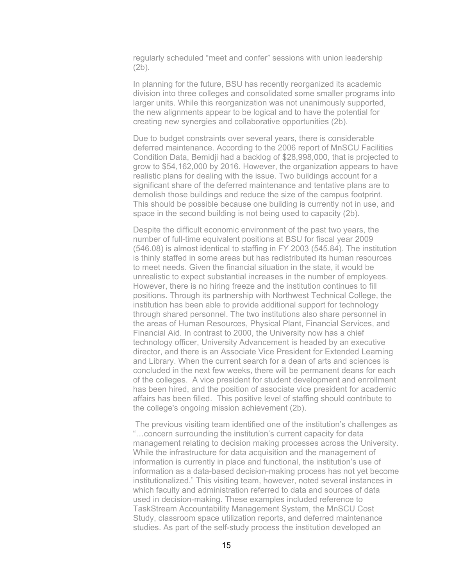regularly scheduled "meet and confer" sessions with union leadership (2b).

In planning for the future, BSU has recently reorganized its academic division into three colleges and consolidated some smaller programs into larger units. While this reorganization was not unanimously supported, the new alignments appear to be logical and to have the potential for creating new synergies and collaborative opportunities (2b).

Due to budget constraints over several years, there is considerable deferred maintenance. According to the 2006 report of MnSCU Facilities Condition Data, Bemidji had a backlog of \$28,998,000, that is projected to grow to \$54,162,000 by 2016. However, the organization appears to have realistic plans for dealing with the issue. Two buildings account for a significant share of the deferred maintenance and tentative plans are to demolish those buildings and reduce the size of the campus footprint. This should be possible because one building is currently not in use, and space in the second building is not being used to capacity (2b).

Despite the difficult economic environment of the past two years, the number of full-time equivalent positions at BSU for fiscal year 2009 (546.08) is almost identical to staffing in FY 2003 (545.84). The institution is thinly staffed in some areas but has redistributed its human resources to meet needs. Given the financial situation in the state, it would be unrealistic to expect substantial increases in the number of employees. However, there is no hiring freeze and the institution continues to fill positions. Through its partnership with Northwest Technical College, the institution has been able to provide additional support for technology through shared personnel. The two institutions also share personnel in the areas of Human Resources, Physical Plant, Financial Services, and Financial Aid. In contrast to 2000, the University now has a chief technology officer, University Advancement is headed by an executive director, and there is an Associate Vice President for Extended Learning and Library. When the current search for a dean of arts and sciences is concluded in the next few weeks, there will be permanent deans for each of the colleges. A vice president for student development and enrollment has been hired, and the position of associate vice president for academic affairs has been filled. This positive level of staffing should contribute to the college's ongoing mission achievement (2b).

 The previous visiting team identified one of the institution's challenges as "…concern surrounding the institution's current capacity for data management relating to decision making processes across the University. While the infrastructure for data acquisition and the management of information is currently in place and functional, the institution's use of information as a data-based decision-making process has not yet become institutionalized." This visiting team, however, noted several instances in which faculty and administration referred to data and sources of data used in decision-making. These examples included reference to TaskStream Accountability Management System, the MnSCU Cost Study, classroom space utilization reports, and deferred maintenance studies. As part of the self-study process the institution developed an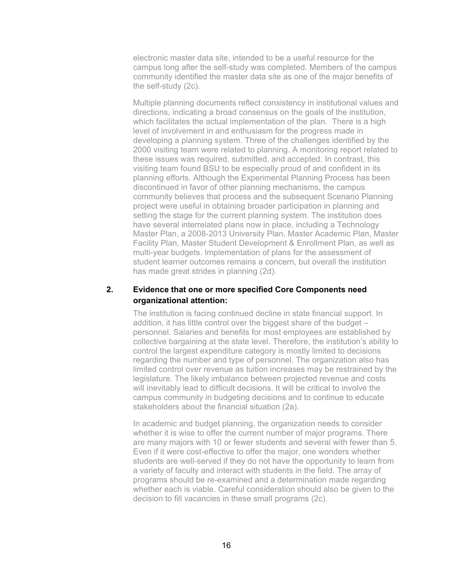electronic master data site, intended to be a useful resource for the campus long after the self-study was completed. Members of the campus community identified the master data site as one of the major benefits of the self-study (2c).

Multiple planning documents reflect consistency in institutional values and directions, indicating a broad consensus on the goals of the institution, which facilitates the actual implementation of the plan. There is a high level of involvement in and enthusiasm for the progress made in developing a planning system. Three of the challenges identified by the 2000 visiting team were related to planning. A monitoring report related to these issues was required, submitted, and accepted. In contrast, this visiting team found BSU to be especially proud of and confident in its planning efforts. Although the Experimental Planning Process has been discontinued in favor of other planning mechanisms, the campus community believes that process and the subsequent Scenario Planning project were useful in obtaining broader participation in planning and setting the stage for the current planning system. The institution does have several interrelated plans now in place, including a Technology Master Plan, a 2008-2013 University Plan, Master Academic Plan, Master Facility Plan, Master Student Development & Enrollment Plan, as well as multi-year budgets. Implementation of plans for the assessment of student learner outcomes remains a concern, but overall the institution has made great strides in planning (2d).

# **2. Evidence that one or more specified Core Components need organizational attention:**

The institution is facing continued decline in state financial support. In addition, it has little control over the biggest share of the budget – personnel. Salaries and benefits for most employees are established by collective bargaining at the state level. Therefore, the institution's ability to control the largest expenditure category is mostly limited to decisions regarding the number and type of personnel. The organization also has limited control over revenue as tuition increases may be restrained by the legislature. The likely imbalance between projected revenue and costs will inevitably lead to difficult decisions. It will be critical to involve the campus community in budgeting decisions and to continue to educate stakeholders about the financial situation (2a).

In academic and budget planning, the organization needs to consider whether it is wise to offer the current number of major programs. There are many majors with 10 or fewer students and several with fewer than 5. Even if it were cost-effective to offer the major, one wonders whether students are well-served if they do not have the opportunity to learn from a variety of faculty and interact with students in the field. The array of programs should be re-examined and a determination made regarding whether each is viable. Careful consideration should also be given to the decision to fill vacancies in these small programs (2c).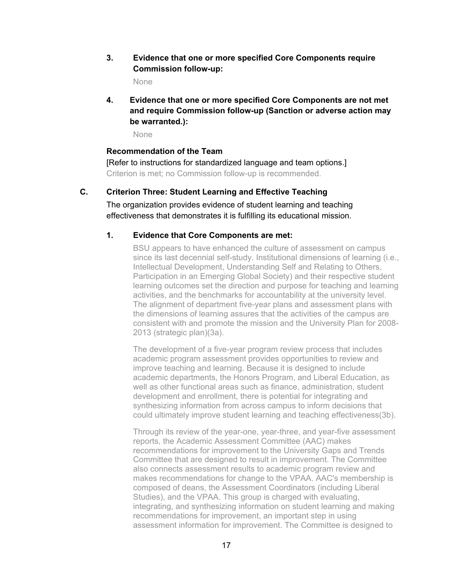# **3. Evidence that one or more specified Core Components require Commission follow-up:**

None

**4. Evidence that one or more specified Core Components are not met and require Commission follow-up (Sanction or adverse action may be warranted.):**

None

#### **Recommendation of the Team**

[Refer to instructions for standardized language and team options.] Criterion is met; no Commission follow-up is recommended.

# **C. Criterion Three: Student Learning and Effective Teaching**

The organization provides evidence of student learning and teaching effectiveness that demonstrates it is fulfilling its educational mission.

## **1. Evidence that Core Components are met:**

BSU appears to have enhanced the culture of assessment on campus since its last decennial self-study. Institutional dimensions of learning (i.e., Intellectual Development, Understanding Self and Relating to Others, Participation in an Emerging Global Society) and their respective student learning outcomes set the direction and purpose for teaching and learning activities, and the benchmarks for accountability at the university level. The alignment of department five-year plans and assessment plans with the dimensions of learning assures that the activities of the campus are consistent with and promote the mission and the University Plan for 2008- 2013 (strategic plan)(3a).

The development of a five-year program review process that includes academic program assessment provides opportunities to review and improve teaching and learning. Because it is designed to include academic departments, the Honors Program, and Liberal Education, as well as other functional areas such as finance, administration, student development and enrollment, there is potential for integrating and synthesizing information from across campus to inform decisions that could ultimately improve student learning and teaching effectiveness(3b).

Through its review of the year-one, year-three, and year-five assessment reports, the Academic Assessment Committee (AAC) makes recommendations for improvement to the University Gaps and Trends Committee that are designed to result in improvement. The Committee also connects assessment results to academic program review and makes recommendations for change to the VPAA. AAC's membership is composed of deans, the Assessment Coordinators (including Liberal Studies), and the VPAA. This group is charged with evaluating, integrating, and synthesizing information on student learning and making recommendations for improvement, an important step in using assessment information for improvement. The Committee is designed to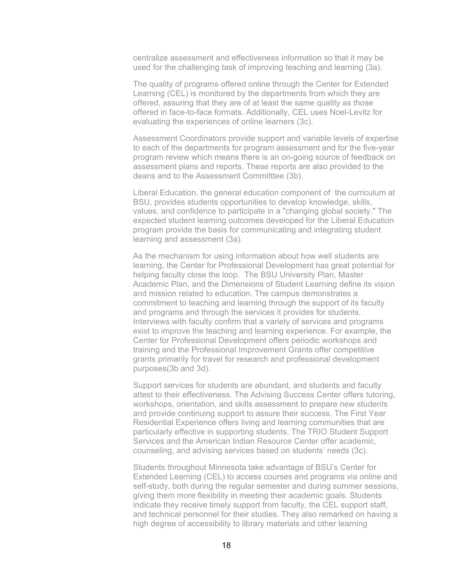centralize assessment and effectiveness information so that it may be used for the challenging task of improving teaching and learning (3a).

The quality of programs offered online through the Center for Extended Learning (CEL) is monitored by the departments from which they are offered, assuring that they are of at least the same quality as those offered in face-to-face formats. Additionally, CEL uses Noel-Levitz for evaluating the experiences of online learners (3c).

Assessment Coordinators provide support and variable levels of expertise to each of the departments for program assessment and for the five-year program review which means there is an on-going source of feedback on assessment plans and reports. These reports are also provided to the deans and to the Assessment Committtee (3b).

Liberal Education, the general education component of the curriculum at BSU, provides students opportunities to develop knowledge, skills, values, and confidence to participate in a "changing global society." The expected student learning outcomes developed for the Liberal Education program provide the basis for communicating and integrating student learning and assessment (3a).

As the mechanism for using information about how well students are learning, the Center for Professional Development has great potential for helping faculty close the loop. The BSU University Plan, Master Academic Plan, and the Dimensions of Student Learning define its vision and mission related to education. The campus demonstrates a commitment to teaching and learning through the support of its faculty and programs and through the services it provides for students. Interviews with faculty confirm that a variety of services and programs exist to improve the teaching and learning experience. For example, the Center for Professional Development offers periodic workshops and training and the Professional Improvement Grants offer competitive grants primarily for travel for research and professional development purposes(3b and 3d).

Support services for students are abundant, and students and faculty attest to their effectiveness. The Advising Success Center offers tutoring, workshops, orientation, and skills assessment to prepare new students and provide continuing support to assure their success. The First Year Residential Experience offers living and learning communities that are particularly effective in supporting students. The TRIO Student Support Services and the American Indian Resource Center offer academic, counseling, and advising services based on students' needs (3c).

Students throughout Minnesota take advantage of BSU's Center for Extended Learning (CEL) to access courses and programs via online and self-study, both during the regular semester and during summer sessions, giving them more flexibility in meeting their academic goals. Students indicate they receive timely support from faculty, the CEL support staff, and technical personnel for their studies. They also remarked on having a high degree of accessibility to library materials and other learning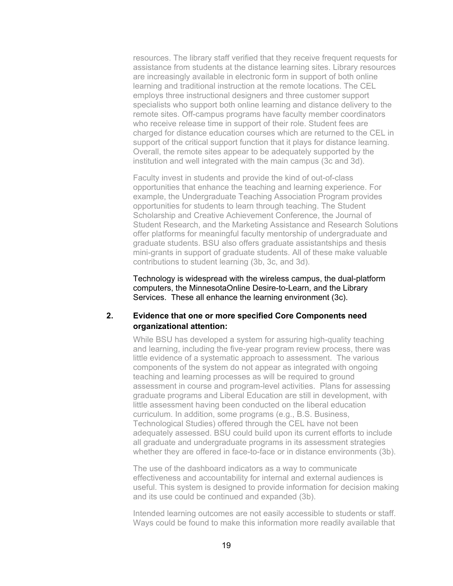resources. The library staff verified that they receive frequent requests for assistance from students at the distance learning sites. Library resources are increasingly available in electronic form in support of both online learning and traditional instruction at the remote locations. The CEL employs three instructional designers and three customer support specialists who support both online learning and distance delivery to the remote sites. Off-campus programs have faculty member coordinators who receive release time in support of their role. Student fees are charged for distance education courses which are returned to the CEL in support of the critical support function that it plays for distance learning. Overall, the remote sites appear to be adequately supported by the institution and well integrated with the main campus (3c and 3d).

Faculty invest in students and provide the kind of out-of-class opportunities that enhance the teaching and learning experience. For example, the Undergraduate Teaching Association Program provides opportunities for students to learn through teaching. The Student Scholarship and Creative Achievement Conference, the Journal of Student Research, and the Marketing Assistance and Research Solutions offer platforms for meaningful faculty mentorship of undergraduate and graduate students. BSU also offers graduate assistantships and thesis mini-grants in support of graduate students. All of these make valuable contributions to student learning (3b, 3c, and 3d).

Technology is widespread with the wireless campus, the dual-platform computers, the MinnesotaOnline Desire-to-Learn, and the Library Services. These all enhance the learning environment (3c).

### **2. Evidence that one or more specified Core Components need organizational attention:**

While BSU has developed a system for assuring high-quality teaching and learning, including the five-year program review process, there was little evidence of a systematic approach to assessment. The various components of the system do not appear as integrated with ongoing teaching and learning processes as will be required to ground assessment in course and program-level activities. Plans for assessing graduate programs and Liberal Education are still in development, with little assessment having been conducted on the liberal education curriculum. In addition, some programs (e.g., B.S. Business, Technological Studies) offered through the CEL have not been adequately assessed. BSU could build upon its current efforts to include all graduate and undergraduate programs in its assessment strategies whether they are offered in face-to-face or in distance environments (3b).

The use of the dashboard indicators as a way to communicate effectiveness and accountability for internal and external audiences is useful. This system is designed to provide information for decision making and its use could be continued and expanded (3b).

Intended learning outcomes are not easily accessible to students or staff. Ways could be found to make this information more readily available that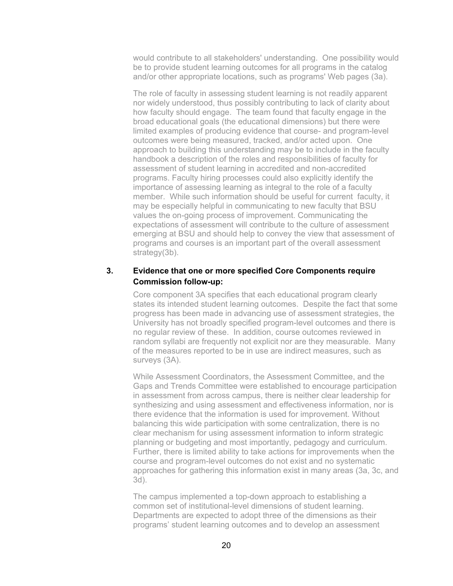would contribute to all stakeholders' understanding. One possibility would be to provide student learning outcomes for all programs in the catalog and/or other appropriate locations, such as programs' Web pages (3a).

The role of faculty in assessing student learning is not readily apparent nor widely understood, thus possibly contributing to lack of clarity about how faculty should engage. The team found that faculty engage in the broad educational goals (the educational dimensions) but there were limited examples of producing evidence that course- and program-level outcomes were being measured, tracked, and/or acted upon. One approach to building this understanding may be to include in the faculty handbook a description of the roles and responsibilities of faculty for assessment of student learning in accredited and non-accredited programs. Faculty hiring processes could also explicitly identify the importance of assessing learning as integral to the role of a faculty member. While such information should be useful for current faculty, it may be especially helpful in communicating to new faculty that BSU values the on-going process of improvement. Communicating the expectations of assessment will contribute to the culture of assessment emerging at BSU and should help to convey the view that assessment of programs and courses is an important part of the overall assessment strategy(3b).

# **3. Evidence that one or more specified Core Components require Commission follow-up:**

Core component 3A specifies that each educational program clearly states its intended student learning outcomes. Despite the fact that some progress has been made in advancing use of assessment strategies, the University has not broadly specified program-level outcomes and there is no regular review of these. In addition, course outcomes reviewed in random syllabi are frequently not explicit nor are they measurable. Many of the measures reported to be in use are indirect measures, such as surveys (3A).

While Assessment Coordinators, the Assessment Committee, and the Gaps and Trends Committee were established to encourage participation in assessment from across campus, there is neither clear leadership for synthesizing and using assessment and effectiveness information, nor is there evidence that the information is used for improvement. Without balancing this wide participation with some centralization, there is no clear mechanism for using assessment information to inform strategic planning or budgeting and most importantly, pedagogy and curriculum. Further, there is limited ability to take actions for improvements when the course and program-level outcomes do not exist and no systematic approaches for gathering this information exist in many areas (3a, 3c, and 3d).

The campus implemented a top-down approach to establishing a common set of institutional-level dimensions of student learning. Departments are expected to adopt three of the dimensions as their programs' student learning outcomes and to develop an assessment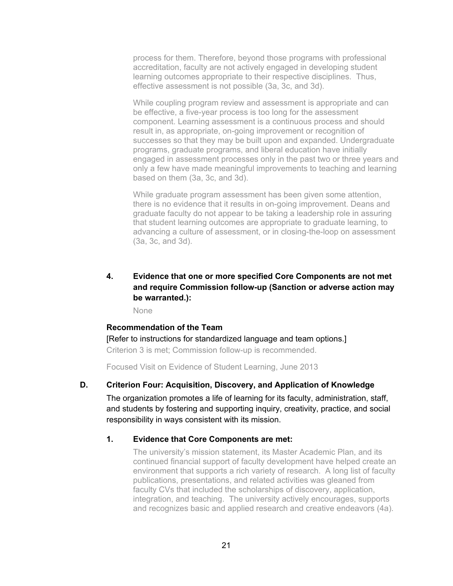process for them. Therefore, beyond those programs with professional accreditation, faculty are not actively engaged in developing student learning outcomes appropriate to their respective disciplines. Thus, effective assessment is not possible (3a, 3c, and 3d).

While coupling program review and assessment is appropriate and can be effective, a five-year process is too long for the assessment component. Learning assessment is a continuous process and should result in, as appropriate, on-going improvement or recognition of successes so that they may be built upon and expanded. Undergraduate programs, graduate programs, and liberal education have initially engaged in assessment processes only in the past two or three years and only a few have made meaningful improvements to teaching and learning based on them (3a, 3c, and 3d).

While graduate program assessment has been given some attention, there is no evidence that it results in on-going improvement. Deans and graduate faculty do not appear to be taking a leadership role in assuring that student learning outcomes are appropriate to graduate learning, to advancing a culture of assessment, or in closing-the-loop on assessment (3a, 3c, and 3d).

# **4. Evidence that one or more specified Core Components are not met and require Commission follow-up (Sanction or adverse action may be warranted.):**

None

## **Recommendation of the Team**

[Refer to instructions for standardized language and team options.] Criterion 3 is met; Commission follow-up is recommended.

Focused Visit on Evidence of Student Learning, June 2013

## **D. Criterion Four: Acquisition, Discovery, and Application of Knowledge**

The organization promotes a life of learning for its faculty, administration, staff, and students by fostering and supporting inquiry, creativity, practice, and social responsibility in ways consistent with its mission.

## **1. Evidence that Core Components are met:**

The university's mission statement, its Master Academic Plan, and its continued financial support of faculty development have helped create an environment that supports a rich variety of research. A long list of faculty publications, presentations, and related activities was gleaned from faculty CVs that included the scholarships of discovery, application, integration, and teaching. The university actively encourages, supports and recognizes basic and applied research and creative endeavors (4a).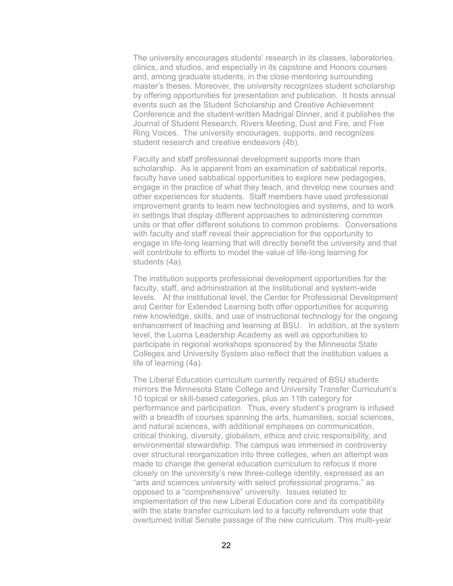The university encourages students' research in its classes, laboratories, clinics, and studios, and especially in its capstone and Honors courses and, among graduate students, in the close mentoring surrounding master's theses. Moreover, the university recognizes student scholarship by offering opportunities for presentation and publication. It hosts annual events such as the Student Scholarship and Creative Achievement Conference and the student-written Madrigal Dinner, and it publishes the Journal of Student Research, Rivers Meeting, Dust and Fire, and Five Ring Voices. The university encourages, supports, and recognizes student research and creative endeavors (4b).

Faculty and staff professional development supports more than scholarship. As is apparent from an examination of sabbatical reports, faculty have used sabbatical opportunities to explore new pedagogies, engage in the practice of what they teach, and develop new courses and other experiences for students. Staff members have used professional improvement grants to learn new technologies and systems, and to work in settings that display different approaches to administering common units or that offer different solutions to common problems. Conversations with faculty and staff reveal their appreciation for the opportunity to engage in life-long learning that will directly benefit the university and that will contribute to efforts to model the value of life-long learning for students (4a).

The institution supports professional development opportunities for the faculty, staff, and administration at the institutional and system-wide levels. At the institutional level, the Center for Professional Development and Center for Extended Learning both offer opportunities for acquiring new knowledge, skills, and use of instructional technology for the ongoing enhancement of teaching and learning at BSU. In addition, at the system level, the Luoma Leadership Academy as well as opportunities to participate in regional workshops sponsored by the Minnesota State Colleges and University System also reflect that the institution values a life of learning (4a).

The Liberal Education curriculum currently required of BSU students mirrors the Minnesota State College and University Transfer Curriculum's 10 topical or skill-based categories, plus an 11th category for performance and participation. Thus, every student's program is infused with a breadth of courses spanning the arts, humanities, social sciences, and natural sciences, with additional emphases on communication, critical thinking, diversity, globalism, ethics and civic responsibility, and environmental stewardship. The campus was immersed in controversy over structural reorganization into three colleges, when an attempt was made to change the general education curriculum to refocus it more closely on the university's new three-college identity, expressed as an "arts and sciences university with select professional programs," as opposed to a "comprehensive" university. Issues related to implementation of the new Liberal Education core and its compatibility with the state transfer curriculum led to a faculty referendum vote that overturned initial Senate passage of the new curriculum. This multi-year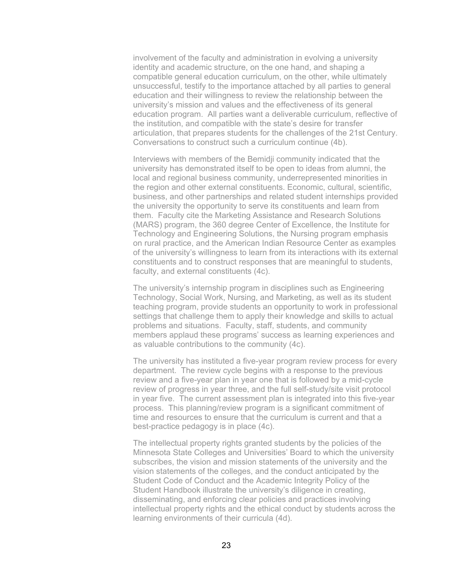involvement of the faculty and administration in evolving a university identity and academic structure, on the one hand, and shaping a compatible general education curriculum, on the other, while ultimately unsuccessful, testify to the importance attached by all parties to general education and their willingness to review the relationship between the university's mission and values and the effectiveness of its general education program. All parties want a deliverable curriculum, reflective of the institution, and compatible with the state's desire for transfer articulation, that prepares students for the challenges of the 21st Century. Conversations to construct such a curriculum continue (4b).

Interviews with members of the Bemidji community indicated that the university has demonstrated itself to be open to ideas from alumni, the local and regional business community, underrepresented minorities in the region and other external constituents. Economic, cultural, scientific, business, and other partnerships and related student internships provided the university the opportunity to serve its constituents and learn from them. Faculty cite the Marketing Assistance and Research Solutions (MARS) program, the 360 degree Center of Excellence, the Institute for Technology and Engineering Solutions, the Nursing program emphasis on rural practice, and the American Indian Resource Center as examples of the university's willingness to learn from its interactions with its external constituents and to construct responses that are meaningful to students, faculty, and external constituents (4c).

The university's internship program in disciplines such as Engineering Technology, Social Work, Nursing, and Marketing, as well as its student teaching program, provide students an opportunity to work in professional settings that challenge them to apply their knowledge and skills to actual problems and situations. Faculty, staff, students, and community members applaud these programs' success as learning experiences and as valuable contributions to the community (4c).

The university has instituted a five-year program review process for every department. The review cycle begins with a response to the previous review and a five-year plan in year one that is followed by a mid-cycle review of progress in year three, and the full self-study/site visit protocol in year five. The current assessment plan is integrated into this five-year process. This planning/review program is a significant commitment of time and resources to ensure that the curriculum is current and that a best-practice pedagogy is in place (4c).

The intellectual property rights granted students by the policies of the Minnesota State Colleges and Universities' Board to which the university subscribes, the vision and mission statements of the university and the vision statements of the colleges, and the conduct anticipated by the Student Code of Conduct and the Academic Integrity Policy of the Student Handbook illustrate the university's diligence in creating, disseminating, and enforcing clear policies and practices involving intellectual property rights and the ethical conduct by students across the learning environments of their curricula (4d).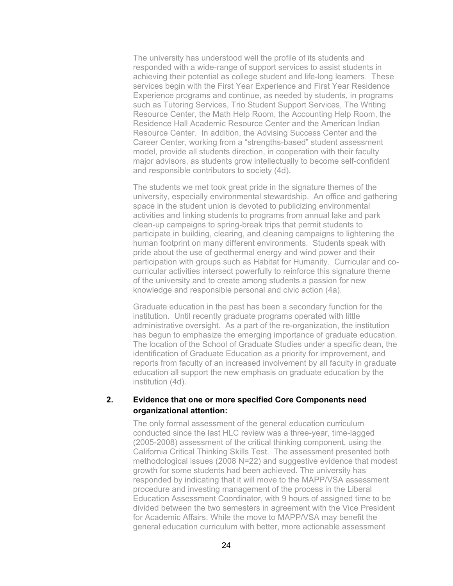The university has understood well the profile of its students and responded with a wide-range of support services to assist students in achieving their potential as college student and life-long learners. These services begin with the First Year Experience and First Year Residence Experience programs and continue, as needed by students, in programs such as Tutoring Services, Trio Student Support Services, The Writing Resource Center, the Math Help Room, the Accounting Help Room, the Residence Hall Academic Resource Center and the American Indian Resource Center. In addition, the Advising Success Center and the Career Center, working from a "strengths-based" student assessment model, provide all students direction, in cooperation with their faculty major advisors, as students grow intellectually to become self-confident and responsible contributors to society (4d).

The students we met took great pride in the signature themes of the university, especially environmental stewardship. An office and gathering space in the student union is devoted to publicizing environmental activities and linking students to programs from annual lake and park clean-up campaigns to spring-break trips that permit students to participate in building, clearing, and cleaning campaigns to lightening the human footprint on many different environments. Students speak with pride about the use of geothermal energy and wind power and their participation with groups such as Habitat for Humanity. Curricular and cocurricular activities intersect powerfully to reinforce this signature theme of the university and to create among students a passion for new knowledge and responsible personal and civic action (4a).

Graduate education in the past has been a secondary function for the institution. Until recently graduate programs operated with little administrative oversight. As a part of the re-organization, the institution has begun to emphasize the emerging importance of graduate education. The location of the School of Graduate Studies under a specific dean, the identification of Graduate Education as a priority for improvement, and reports from faculty of an increased involvement by all faculty in graduate education all support the new emphasis on graduate education by the institution (4d).

## **2. Evidence that one or more specified Core Components need organizational attention:**

The only formal assessment of the general education curriculum conducted since the last HLC review was a three-year, time-lagged (2005-2008) assessment of the critical thinking component, using the California Critical Thinking Skills Test. The assessment presented both methodological issues (2008 N=22) and suggestive evidence that modest growth for some students had been achieved. The university has responded by indicating that it will move to the MAPP/VSA assessment procedure and investing management of the process in the Liberal Education Assessment Coordinator, with 9 hours of assigned time to be divided between the two semesters in agreement with the Vice President for Academic Affairs. While the move to MAPP/VSA may benefit the general education curriculum with better, more actionable assessment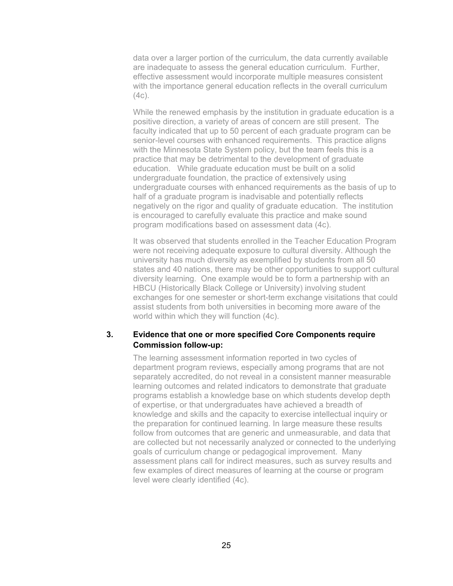data over a larger portion of the curriculum, the data currently available are inadequate to assess the general education curriculum. Further, effective assessment would incorporate multiple measures consistent with the importance general education reflects in the overall curriculum  $(4c)$ .

While the renewed emphasis by the institution in graduate education is a positive direction, a variety of areas of concern are still present. The faculty indicated that up to 50 percent of each graduate program can be senior-level courses with enhanced requirements. This practice aligns with the Minnesota State System policy, but the team feels this is a practice that may be detrimental to the development of graduate education. While graduate education must be built on a solid undergraduate foundation, the practice of extensively using undergraduate courses with enhanced requirements as the basis of up to half of a graduate program is inadvisable and potentially reflects negatively on the rigor and quality of graduate education. The institution is encouraged to carefully evaluate this practice and make sound program modifications based on assessment data (4c).

It was observed that students enrolled in the Teacher Education Program were not receiving adequate exposure to cultural diversity. Although the university has much diversity as exemplified by students from all 50 states and 40 nations, there may be other opportunities to support cultural diversity learning. One example would be to form a partnership with an HBCU (Historically Black College or University) involving student exchanges for one semester or short-term exchange visitations that could assist students from both universities in becoming more aware of the world within which they will function (4c).

### **3. Evidence that one or more specified Core Components require Commission follow-up:**

The learning assessment information reported in two cycles of department program reviews, especially among programs that are not separately accredited, do not reveal in a consistent manner measurable learning outcomes and related indicators to demonstrate that graduate programs establish a knowledge base on which students develop depth of expertise, or that undergraduates have achieved a breadth of knowledge and skills and the capacity to exercise intellectual inquiry or the preparation for continued learning. In large measure these results follow from outcomes that are generic and unmeasurable, and data that are collected but not necessarily analyzed or connected to the underlying goals of curriculum change or pedagogical improvement. Many assessment plans call for indirect measures, such as survey results and few examples of direct measures of learning at the course or program level were clearly identified (4c).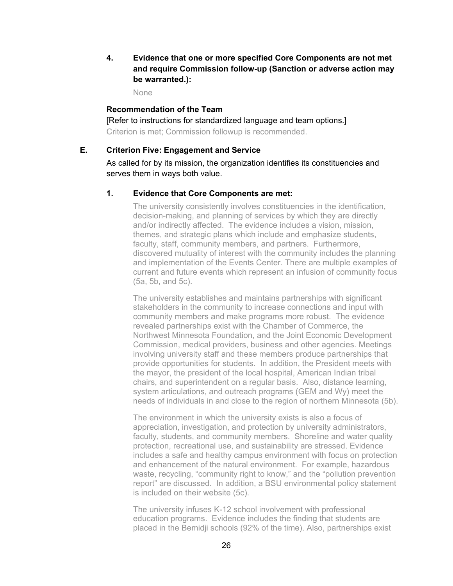**4. Evidence that one or more specified Core Components are not met and require Commission follow-up (Sanction or adverse action may be warranted.):** 

None

#### **Recommendation of the Team**

[Refer to instructions for standardized language and team options.] Criterion is met; Commission followup is recommended.

#### **E. Criterion Five: Engagement and Service**

As called for by its mission, the organization identifies its constituencies and serves them in ways both value.

#### **1. Evidence that Core Components are met:**

The university consistently involves constituencies in the identification, decision-making, and planning of services by which they are directly and/or indirectly affected. The evidence includes a vision, mission, themes, and strategic plans which include and emphasize students, faculty, staff, community members, and partners. Furthermore, discovered mutuality of interest with the community includes the planning and implementation of the Events Center. There are multiple examples of current and future events which represent an infusion of community focus (5a, 5b, and 5c).

The university establishes and maintains partnerships with significant stakeholders in the community to increase connections and input with community members and make programs more robust. The evidence revealed partnerships exist with the Chamber of Commerce, the Northwest Minnesota Foundation, and the Joint Economic Development Commission, medical providers, business and other agencies. Meetings involving university staff and these members produce partnerships that provide opportunities for students. In addition, the President meets with the mayor, the president of the local hospital, American Indian tribal chairs, and superintendent on a regular basis. Also, distance learning, system articulations, and outreach programs (GEM and Wy) meet the needs of individuals in and close to the region of northern Minnesota (5b).

The environment in which the university exists is also a focus of appreciation, investigation, and protection by university administrators, faculty, students, and community members. Shoreline and water quality protection, recreational use, and sustainability are stressed. Evidence includes a safe and healthy campus environment with focus on protection and enhancement of the natural environment. For example, hazardous waste, recycling, "community right to know," and the "pollution prevention report" are discussed. In addition, a BSU environmental policy statement is included on their website (5c).

The university infuses K-12 school involvement with professional education programs. Evidence includes the finding that students are placed in the Bemidji schools (92% of the time). Also, partnerships exist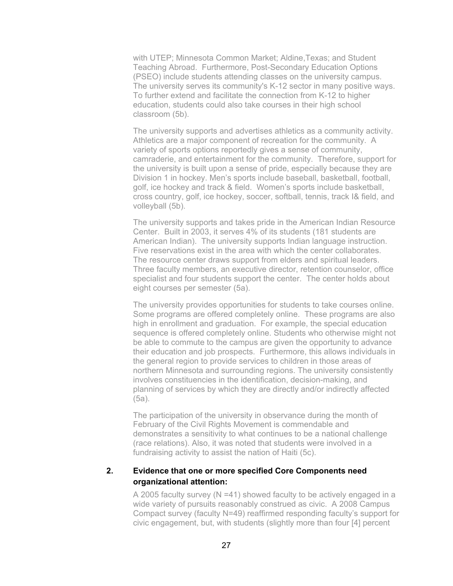with UTEP; Minnesota Common Market; Aldine,Texas; and Student Teaching Abroad. Furthermore, Post-Secondary Education Options (PSEO) include students attending classes on the university campus. The university serves its community's K-12 sector in many positive ways. To further extend and facilitate the connection from K-12 to higher education, students could also take courses in their high school classroom (5b).

The university supports and advertises athletics as a community activity. Athletics are a major component of recreation for the community. A variety of sports options reportedly gives a sense of community, camraderie, and entertainment for the community. Therefore, support for the university is built upon a sense of pride, especially because they are Division 1 in hockey. Men's sports include baseball, basketball, football, golf, ice hockey and track & field. Women's sports include basketball, cross country, golf, ice hockey, soccer, softball, tennis, track I& field, and volleyball (5b).

The university supports and takes pride in the American Indian Resource Center. Built in 2003, it serves 4% of its students (181 students are American Indian). The university supports Indian language instruction. Five reservations exist in the area with which the center collaborates. The resource center draws support from elders and spiritual leaders. Three faculty members, an executive director, retention counselor, office specialist and four students support the center. The center holds about eight courses per semester (5a).

The university provides opportunities for students to take courses online. Some programs are offered completely online. These programs are also high in enrollment and graduation. For example, the special education sequence is offered completely online. Students who otherwise might not be able to commute to the campus are given the opportunity to advance their education and job prospects. Furthermore, this allows individuals in the general region to provide services to children in those areas of northern Minnesota and surrounding regions. The university consistently involves constituencies in the identification, decision-making, and planning of services by which they are directly and/or indirectly affected (5a).

The participation of the university in observance during the month of February of the Civil Rights Movement is commendable and demonstrates a sensitivity to what continues to be a national challenge (race relations). Also, it was noted that students were involved in a fundraising activity to assist the nation of Haiti (5c).

## **2. Evidence that one or more specified Core Components need organizational attention:**

A 2005 faculty survey (N =41) showed faculty to be actively engaged in a wide variety of pursuits reasonably construed as civic. A 2008 Campus Compact survey (faculty N=49) reaffirmed responding faculty's support for civic engagement, but, with students (slightly more than four [4] percent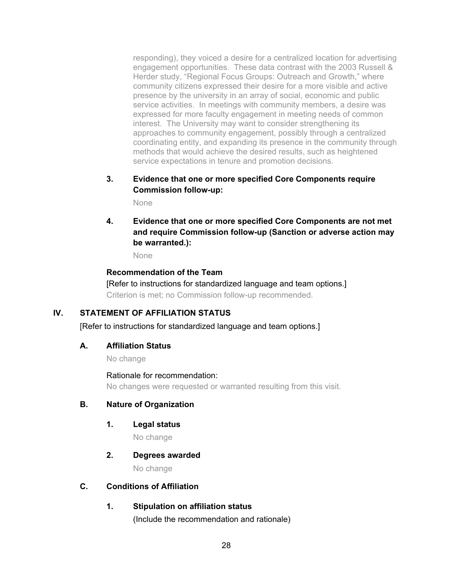responding), they voiced a desire for a centralized location for advertising engagement opportunities. These data contrast with the 2003 Russell & Herder study, "Regional Focus Groups: Outreach and Growth," where community citizens expressed their desire for a more visible and active presence by the university in an array of social, economic and public service activities. In meetings with community members, a desire was expressed for more faculty engagement in meeting needs of common interest. The University may want to consider strengthening its approaches to community engagement, possibly through a centralized coordinating entity, and expanding its presence in the community through methods that would achieve the desired results, such as heightened service expectations in tenure and promotion decisions.

**3. Evidence that one or more specified Core Components require Commission follow-up:**

None

**4. Evidence that one or more specified Core Components are not met and require Commission follow-up (Sanction or adverse action may be warranted.):** 

None

# **Recommendation of the Team**

[Refer to instructions for standardized language and team options.] Criterion is met; no Commission follow-up recommended.

# **IV. STATEMENT OF AFFILIATION STATUS**

[Refer to instructions for standardized language and team options.]

## **A. Affiliation Status**

No change

Rationale for recommendation: No changes were requested or warranted resulting from this visit.

## **B. Nature of Organization**

**1. Legal status**

No change

## **2. Degrees awarded**

No change

## **C. Conditions of Affiliation**

# **1. Stipulation on affiliation status**

(Include the recommendation and rationale)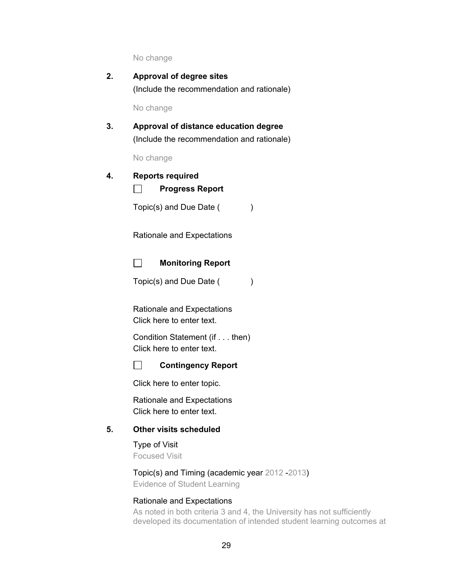No change

| 2. | Approval of degree sites                   |
|----|--------------------------------------------|
|    | (Include the recommendation and rationale) |

No change

**3. Approval of distance education degree** (Include the recommendation and rationale)

No change

#### **4. Reports required**

П **Progress Report**

Topic(s) and Due Date ( )

Rationale and Expectations

 $\Box$ **Monitoring Report**

Topic(s) and Due Date ( )

Rationale and Expectations Click here to enter text.

Condition Statement (if . . . then) Click here to enter text.



Click here to enter topic.

Rationale and Expectations Click here to enter text.

# **5. Other visits scheduled**

Type of Visit Focused Visit

Topic(s) and Timing (academic year 2012 -2013) Evidence of Student Learning

#### Rationale and Expectations

As noted in both criteria 3 and 4, the University has not sufficiently developed its documentation of intended student learning outcomes at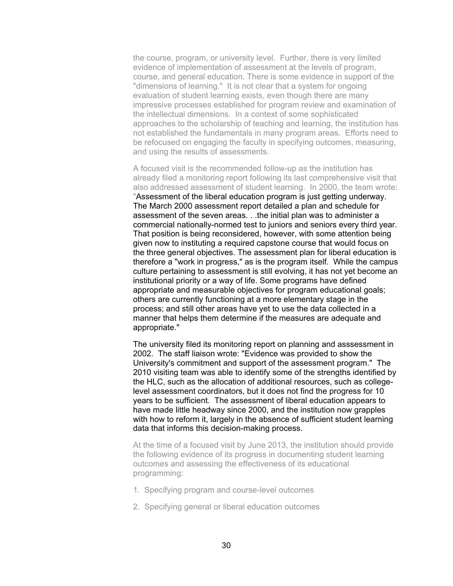the course, program, or university level. Further, there is very limited evidence of implementation of assessment at the levels of program, course, and general education. There is some evidence in support of the "dimensions of learning." It is not clear that a system for ongoing evaluation of student learning exists, even though there are many impressive processes established for program review and examination of the intellectual dimensions. In a context of some sophisticated approaches to the scholarship of teaching and learning, the institution has not established the fundamentals in many program areas. Efforts need to be refocused on engaging the faculty in specifying outcomes, measuring, and using the results of assessments.

A focused visit is the recommended follow-up as the institution has already filed a monitoring report following its last comprehensive visit that also addressed assessment of student learning. In 2000, the team wrote: "Assessment of the liberal education program is just getting underway. The March 2000 assessment report detailed a plan and schedule for assessment of the seven areas. . .the initial plan was to administer a commercial nationally-normed test to juniors and seniors every third year. That position is being reconsidered, however, with some attention being given now to instituting a required capstone course that would focus on the three general objectives. The assessment plan for liberal education is therefore a "work in progress," as is the program itself. While the campus culture pertaining to assessment is still evolving, it has not yet become an institutional priority or a way of life. Some programs have defined appropriate and measurable objectives for program educational goals; others are currently functioning at a more elementary stage in the process; and still other areas have yet to use the data collected in a manner that helps them determine if the measures are adequate and appropriate."

The university filed its monitoring report on planning and asssessment in 2002. The staff liaison wrote: "Evidence was provided to show the University's commitment and support of the assessment program." The 2010 visiting team was able to identify some of the strengths identified by the HLC, such as the allocation of additional resources, such as collegelevel assessment coordinators, but it does not find the progress for 10 years to be sufficient. The assessment of liberal education appears to have made little headway since 2000, and the institution now grapples with how to reform it, largely in the absence of sufficient student learning data that informs this decision-making process.

At the time of a focused visit by June 2013, the institution should provide the following evidence of its progress in documenting student learning outcomes and assessing the effectiveness of its educational programming:

- 1. Specifying program and course-level outcomes
- 2. Specifying general or liberal education outcomes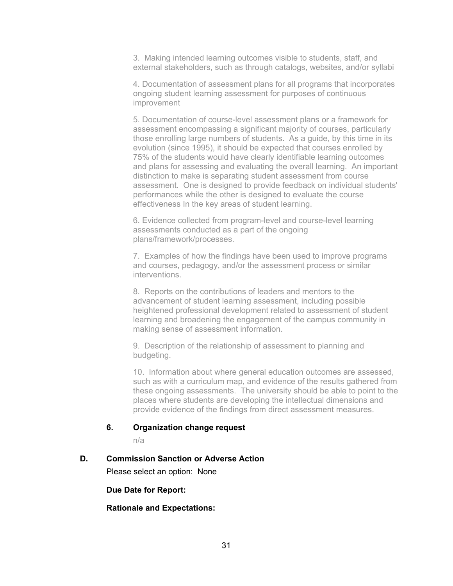3. Making intended learning outcomes visible to students, staff, and external stakeholders, such as through catalogs, websites, and/or syllabi

4. Documentation of assessment plans for all programs that incorporates ongoing student learning assessment for purposes of continuous improvement

5. Documentation of course-level assessment plans or a framework for assessment encompassing a significant majority of courses, particularly those enrolling large numbers of students. As a guide, by this time in its evolution (since 1995), it should be expected that courses enrolled by 75% of the students would have clearly identifiable learning outcomes and plans for assessing and evaluating the overall learning. An important distinction to make is separating student assessment from course assessment. One is designed to provide feedback on individual students' performances while the other is designed to evaluate the course effectiveness In the key areas of student learning.

6. Evidence collected from program-level and course-level learning assessments conducted as a part of the ongoing plans/framework/processes.

7. Examples of how the findings have been used to improve programs and courses, pedagogy, and/or the assessment process or similar interventions.

8. Reports on the contributions of leaders and mentors to the advancement of student learning assessment, including possible heightened professional development related to assessment of student learning and broadening the engagement of the campus community in making sense of assessment information.

9. Description of the relationship of assessment to planning and budgeting.

10. Information about where general education outcomes are assessed, such as with a curriculum map, and evidence of the results gathered from these ongoing assessments. The university should be able to point to the places where students are developing the intellectual dimensions and provide evidence of the findings from direct assessment measures.

## **6. Organization change request**

n/a

#### **D. Commission Sanction or Adverse Action**

Please select an option: None

**Due Date for Report:** 

#### **Rationale and Expectations:**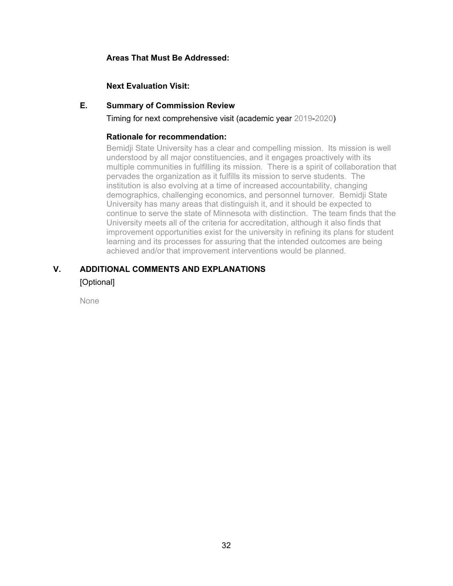# **Areas That Must Be Addressed:**

# **Next Evaluation Visit:**

## **E. Summary of Commission Review**

Timing for next comprehensive visit (academic year 2019-2020)

## **Rationale for recommendation:**

Bemidji State University has a clear and compelling mission. Its mission is well understood by all major constituencies, and it engages proactively with its multiple communities in fulfilling its mission. There is a spirit of collaboration that pervades the organization as it fulfills its mission to serve students. The institution is also evolving at a time of increased accountability, changing demographics, challenging economics, and personnel turnover. Bemidji State University has many areas that distinguish it, and it should be expected to continue to serve the state of Minnesota with distinction. The team finds that the University meets all of the criteria for accreditation, although it also finds that improvement opportunities exist for the university in refining its plans for student learning and its processes for assuring that the intended outcomes are being achieved and/or that improvement interventions would be planned.

# **V. ADDITIONAL COMMENTS AND EXPLANATIONS**

[Optional]

None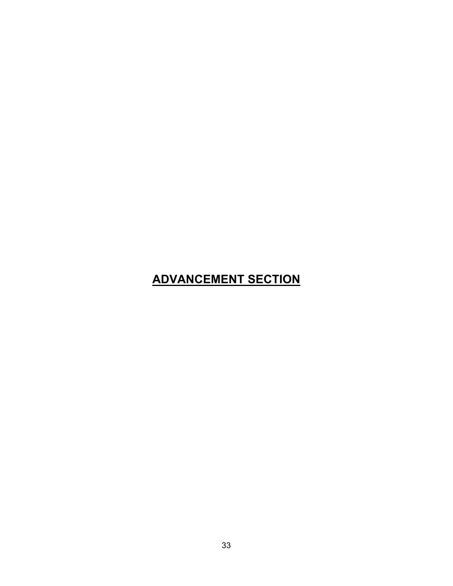# **ADVANCEMENT SECTION**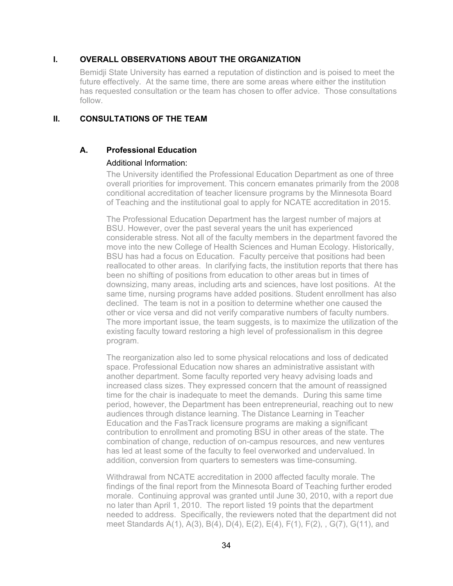# **I. OVERALL OBSERVATIONS ABOUT THE ORGANIZATION**

Bemidji State University has earned a reputation of distinction and is poised to meet the future effectively. At the same time, there are some areas where either the institution has requested consultation or the team has chosen to offer advice. Those consultations follow.

## **II. CONSULTATIONS OF THE TEAM**

# **A. Professional Education**

## Additional Information:

The University identified the Professional Education Department as one of three overall priorities for improvement. This concern emanates primarily from the 2008 conditional accreditation of teacher licensure programs by the Minnesota Board of Teaching and the institutional goal to apply for NCATE accreditation in 2015.

The Professional Education Department has the largest number of majors at BSU. However, over the past several years the unit has experienced considerable stress. Not all of the faculty members in the department favored the move into the new College of Health Sciences and Human Ecology. Historically, BSU has had a focus on Education. Faculty perceive that positions had been reallocated to other areas. In clarifying facts, the institution reports that there has been no shifting of positions from education to other areas but in times of downsizing, many areas, including arts and sciences, have lost positions. At the same time, nursing programs have added positions. Student enrollment has also declined. The team is not in a position to determine whether one caused the other or vice versa and did not verify comparative numbers of faculty numbers. The more important issue, the team suggests, is to maximize the utilization of the existing faculty toward restoring a high level of professionalism in this degree program.

The reorganization also led to some physical relocations and loss of dedicated space. Professional Education now shares an administrative assistant with another department. Some faculty reported very heavy advising loads and increased class sizes. They expressed concern that the amount of reassigned time for the chair is inadequate to meet the demands. During this same time period, however, the Department has been entrepreneurial, reaching out to new audiences through distance learning. The Distance Learning in Teacher Education and the FasTrack licensure programs are making a significant contribution to enrollment and promoting BSU in other areas of the state. The combination of change, reduction of on-campus resources, and new ventures has led at least some of the faculty to feel overworked and undervalued. In addition, conversion from quarters to semesters was time-consuming.

Withdrawal from NCATE accreditation in 2000 affected faculty morale. The findings of the final report from the Minnesota Board of Teaching further eroded morale. Continuing approval was granted until June 30, 2010, with a report due no later than April 1, 2010. The report listed 19 points that the department needed to address. Specifically, the reviewers noted that the department did not meet Standards A(1), A(3), B(4), D(4), E(2), E(4), F(1), F(2), , G(7), G(11), and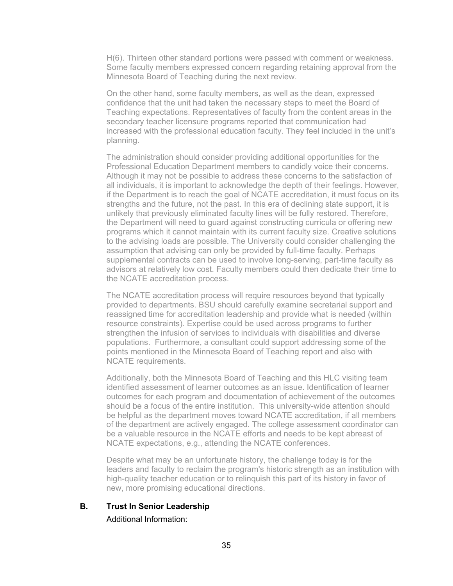H(6). Thirteen other standard portions were passed with comment or weakness. Some faculty members expressed concern regarding retaining approval from the Minnesota Board of Teaching during the next review.

On the other hand, some faculty members, as well as the dean, expressed confidence that the unit had taken the necessary steps to meet the Board of Teaching expectations. Representatives of faculty from the content areas in the secondary teacher licensure programs reported that communication had increased with the professional education faculty. They feel included in the unit's planning.

The administration should consider providing additional opportunities for the Professional Education Department members to candidly voice their concerns. Although it may not be possible to address these concerns to the satisfaction of all individuals, it is important to acknowledge the depth of their feelings. However, if the Department is to reach the goal of NCATE accreditation, it must focus on its strengths and the future, not the past. In this era of declining state support, it is unlikely that previously eliminated faculty lines will be fully restored. Therefore, the Department will need to guard against constructing curricula or offering new programs which it cannot maintain with its current faculty size. Creative solutions to the advising loads are possible. The University could consider challenging the assumption that advising can only be provided by full-time faculty. Perhaps supplemental contracts can be used to involve long-serving, part-time faculty as advisors at relatively low cost. Faculty members could then dedicate their time to the NCATE accreditation process.

The NCATE accreditation process will require resources beyond that typically provided to departments. BSU should carefully examine secretarial support and reassigned time for accreditation leadership and provide what is needed (within resource constraints). Expertise could be used across programs to further strengthen the infusion of services to individuals with disabilities and diverse populations. Furthermore, a consultant could support addressing some of the points mentioned in the Minnesota Board of Teaching report and also with NCATE requirements.

Additionally, both the Minnesota Board of Teaching and this HLC visiting team identified assessment of learner outcomes as an issue. Identification of learner outcomes for each program and documentation of achievement of the outcomes should be a focus of the entire institution. This university-wide attention should be helpful as the department moves toward NCATE accreditation, if all members of the department are actively engaged. The college assessment coordinator can be a valuable resource in the NCATE efforts and needs to be kept abreast of NCATE expectations, e.g., attending the NCATE conferences.

Despite what may be an unfortunate history, the challenge today is for the leaders and faculty to reclaim the program's historic strength as an institution with high-quality teacher education or to relinquish this part of its history in favor of new, more promising educational directions.

**B. Trust In Senior Leadership** 

Additional Information: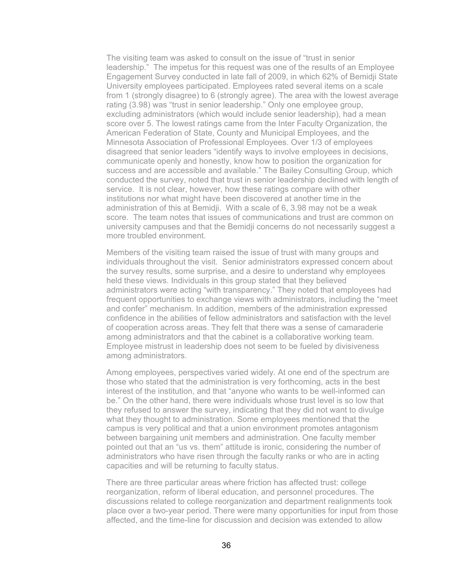The visiting team was asked to consult on the issue of "trust in senior leadership." The impetus for this request was one of the results of an Employee Engagement Survey conducted in late fall of 2009, in which 62% of Bemidji State University employees participated. Employees rated several items on a scale from 1 (strongly disagree) to 6 (strongly agree). The area with the lowest average rating (3.98) was "trust in senior leadership." Only one employee group, excluding administrators (which would include senior leadership), had a mean score over 5. The lowest ratings came from the Inter Faculty Organization, the American Federation of State, County and Municipal Employees, and the Minnesota Association of Professional Employees. Over 1/3 of employees disagreed that senior leaders "identify ways to involve employees in decisions, communicate openly and honestly, know how to position the organization for success and are accessible and available." The Bailey Consulting Group, which conducted the survey, noted that trust in senior leadership declined with length of service. It is not clear, however, how these ratings compare with other institutions nor what might have been discovered at another time in the administration of this at Bemidji. With a scale of 6, 3.98 may not be a weak score. The team notes that issues of communications and trust are common on university campuses and that the Bemidji concerns do not necessarily suggest a more troubled environment.

Members of the visiting team raised the issue of trust with many groups and individuals throughout the visit. Senior administrators expressed concern about the survey results, some surprise, and a desire to understand why employees held these views. Individuals in this group stated that they believed administrators were acting "with transparency." They noted that employees had frequent opportunities to exchange views with administrators, including the "meet and confer" mechanism. In addition, members of the administration expressed confidence in the abilities of fellow administrators and satisfaction with the level of cooperation across areas. They felt that there was a sense of camaraderie among administrators and that the cabinet is a collaborative working team. Employee mistrust in leadership does not seem to be fueled by divisiveness among administrators.

Among employees, perspectives varied widely. At one end of the spectrum are those who stated that the administration is very forthcoming, acts in the best interest of the institution, and that "anyone who wants to be well-informed can be." On the other hand, there were individuals whose trust level is so low that they refused to answer the survey, indicating that they did not want to divulge what they thought to administration. Some employees mentioned that the campus is very political and that a union environment promotes antagonism between bargaining unit members and administration. One faculty member pointed out that an "us vs. them" attitude is ironic, considering the number of administrators who have risen through the faculty ranks or who are in acting capacities and will be returning to faculty status.

There are three particular areas where friction has affected trust: college reorganization, reform of liberal education, and personnel procedures. The discussions related to college reorganization and department realignments took place over a two-year period. There were many opportunities for input from those affected, and the time-line for discussion and decision was extended to allow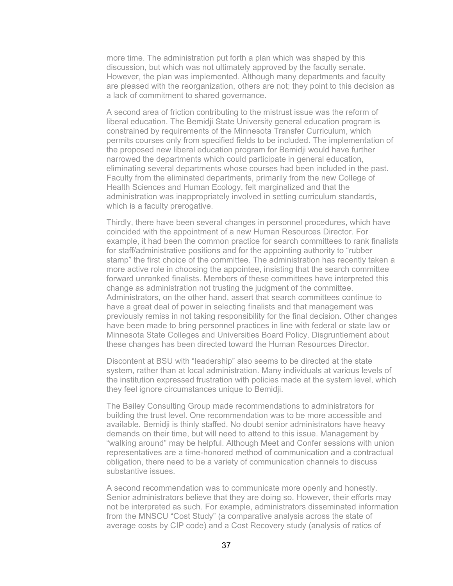more time. The administration put forth a plan which was shaped by this discussion, but which was not ultimately approved by the faculty senate. However, the plan was implemented. Although many departments and faculty are pleased with the reorganization, others are not; they point to this decision as a lack of commitment to shared governance.

A second area of friction contributing to the mistrust issue was the reform of liberal education. The Bemidji State University general education program is constrained by requirements of the Minnesota Transfer Curriculum, which permits courses only from specified fields to be included. The implementation of the proposed new liberal education program for Bemidji would have further narrowed the departments which could participate in general education, eliminating several departments whose courses had been included in the past. Faculty from the eliminated departments, primarily from the new College of Health Sciences and Human Ecology, felt marginalized and that the administration was inappropriately involved in setting curriculum standards, which is a faculty prerogative.

Thirdly, there have been several changes in personnel procedures, which have coincided with the appointment of a new Human Resources Director. For example, it had been the common practice for search committees to rank finalists for staff/administrative positions and for the appointing authority to "rubber stamp" the first choice of the committee. The administration has recently taken a more active role in choosing the appointee, insisting that the search committee forward unranked finalists. Members of these committees have interpreted this change as administration not trusting the judgment of the committee. Administrators, on the other hand, assert that search committees continue to have a great deal of power in selecting finalists and that management was previously remiss in not taking responsibility for the final decision. Other changes have been made to bring personnel practices in line with federal or state law or Minnesota State Colleges and Universities Board Policy. Disgruntlement about these changes has been directed toward the Human Resources Director.

Discontent at BSU with "leadership" also seems to be directed at the state system, rather than at local administration. Many individuals at various levels of the institution expressed frustration with policies made at the system level, which they feel ignore circumstances unique to Bemidji.

The Bailey Consulting Group made recommendations to administrators for building the trust level. One recommendation was to be more accessible and available. Bemidji is thinly staffed. No doubt senior administrators have heavy demands on their time, but will need to attend to this issue. Management by "walking around" may be helpful. Although Meet and Confer sessions with union representatives are a time-honored method of communication and a contractual obligation, there need to be a variety of communication channels to discuss substantive issues.

A second recommendation was to communicate more openly and honestly. Senior administrators believe that they are doing so. However, their efforts may not be interpreted as such. For example, administrators disseminated information from the MNSCU "Cost Study" (a comparative analysis across the state of average costs by CIP code) and a Cost Recovery study (analysis of ratios of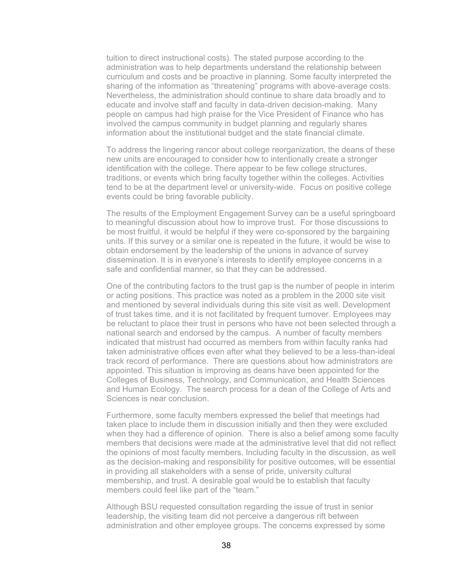tuition to direct instructional costs). The stated purpose according to the administration was to help departments understand the relationship between curriculum and costs and be proactive in planning. Some faculty interpreted the sharing of the information as "threatening" programs with above-average costs. Nevertheless, the administration should continue to share data broadly and to educate and involve staff and faculty in data-driven decision-making. Many people on campus had high praise for the Vice President of Finance who has involved the campus community in budget planning and regularly shares information about the institutional budget and the state financial climate.

To address the lingering rancor about college reorganization, the deans of these new units are encouraged to consider how to intentionally create a stronger identification with the college. There appear to be few college structures, traditions, or events which bring faculty together within the colleges. Activities tend to be at the department level or university-wide. Focus on positive college events could be bring favorable publicity.

The results of the Employment Engagement Survey can be a useful springboard to meaningful discussion about how to improve trust. For those discussions to be most fruitful, it would be helpful if they were co-sponsored by the bargaining units. If this survey or a similar one is repeated in the future, it would be wise to obtain endorsement by the leadership of the unions in advance of survey dissemination. It is in everyone's interests to identify employee concerns in a safe and confidential manner, so that they can be addressed.

One of the contributing factors to the trust gap is the number of people in interim or acting positions. This practice was noted as a problem in the 2000 site visit and mentioned by several individuals during this site visit as well. Development of trust takes time, and it is not facilitated by frequent turnover. Employees may be reluctant to place their trust in persons who have not been selected through a national search and endorsed by the campus. A number of faculty members indicated that mistrust had occurred as members from within faculty ranks had taken administrative offices even after what they believed to be a less-than-ideal track record of performance. There are questions about how administrators are appointed. This situation is improving as deans have been appointed for the Colleges of Business, Technology, and Communication, and Health Sciences and Human Ecology. The search process for a dean of the College of Arts and Sciences is near conclusion.

Furthermore, some faculty members expressed the belief that meetings had taken place to include them in discussion initially and then they were excluded when they had a difference of opinion. There is also a belief among some faculty members that decisions were made at the administrative level that did not reflect the opinions of most faculty members. Including faculty in the discussion, as well as the decision-making and responsibility for positive outcomes, will be essential in providing all stakeholders with a sense of pride, university cultural membership, and trust. A desirable goal would be to establish that faculty members could feel like part of the "team."

Although BSU requested consultation regarding the issue of trust in senior leadership, the visiting team did not perceive a dangerous rift between administration and other employee groups. The concerns expressed by some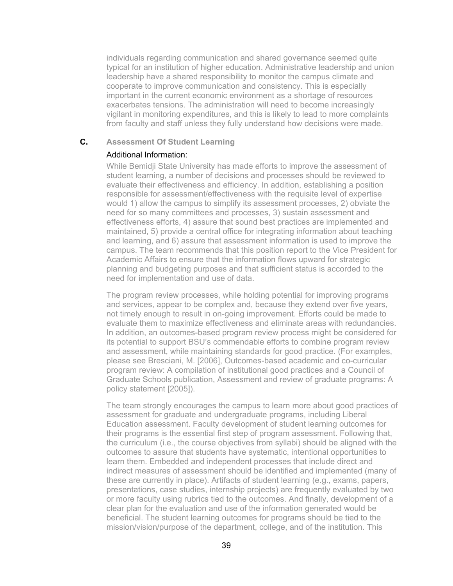individuals regarding communication and shared governance seemed quite typical for an institution of higher education. Administrative leadership and union leadership have a shared responsibility to monitor the campus climate and cooperate to improve communication and consistency. This is especially important in the current economic environment as a shortage of resources exacerbates tensions. The administration will need to become increasingly vigilant in monitoring expenditures, and this is likely to lead to more complaints from faculty and staff unless they fully understand how decisions were made.

## **C. Assessment Of Student Learning**

#### Additional Information:

While Bemidji State University has made efforts to improve the assessment of student learning, a number of decisions and processes should be reviewed to evaluate their effectiveness and efficiency. In addition, establishing a position responsible for assessment/effectiveness with the requisite level of expertise would 1) allow the campus to simplify its assessment processes, 2) obviate the need for so many committees and processes, 3) sustain assessment and effectiveness efforts, 4) assure that sound best practices are implemented and maintained, 5) provide a central office for integrating information about teaching and learning, and 6) assure that assessment information is used to improve the campus. The team recommends that this position report to the Vice President for Academic Affairs to ensure that the information flows upward for strategic planning and budgeting purposes and that sufficient status is accorded to the need for implementation and use of data.

The program review processes, while holding potential for improving programs and services, appear to be complex and, because they extend over five years, not timely enough to result in on-going improvement. Efforts could be made to evaluate them to maximize effectiveness and eliminate areas with redundancies. In addition, an outcomes-based program review process might be considered for its potential to support BSU's commendable efforts to combine program review and assessment, while maintaining standards for good practice. (For examples, please see Bresciani, M. [2006], Outcomes-based academic and co-curricular program review: A compilation of institutional good practices and a Council of Graduate Schools publication, Assessment and review of graduate programs: A policy statement [2005]).

The team strongly encourages the campus to learn more about good practices of assessment for graduate and undergraduate programs, including Liberal Education assessment. Faculty development of student learning outcomes for their programs is the essential first step of program assessment. Following that, the curriculum (i.e., the course objectives from syllabi) should be aligned with the outcomes to assure that students have systematic, intentional opportunities to learn them. Embedded and independent processes that include direct and indirect measures of assessment should be identified and implemented (many of these are currently in place). Artifacts of student learning (e.g., exams, papers, presentations, case studies, internship projects) are frequently evaluated by two or more faculty using rubrics tied to the outcomes. And finally, development of a clear plan for the evaluation and use of the information generated would be beneficial. The student learning outcomes for programs should be tied to the mission/vision/purpose of the department, college, and of the institution. This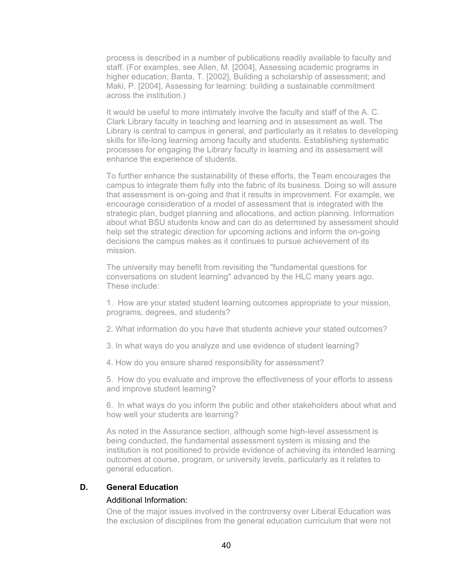process is described in a number of publications readily available to faculty and staff. (For examples, see Allen, M. [2004], Assessing academic programs in higher education; Banta, T. [2002], Building a scholarship of assessment; and Maki, P. [2004], Assessing for learning: building a sustainable commitment across the institution.)

It would be useful to more intimately involve the faculty and staff of the A. C. Clark Library faculty in teaching and learning and in assessment as well. The Library is central to campus in general, and particularly as it relates to developing skills for life-long learning among faculty and students. Establishing systematic processes for engaging the Library faculty in learning and its assessment will enhance the experience of students.

To further enhance the sustainability of these efforts, the Team encourages the campus to integrate them fully into the fabric of its business. Doing so will assure that assessment is on-going and that it results in improvement. For example, we encourage consideration of a model of assessment that is integrated with the strategic plan, budget planning and allocations, and action planning. Information about what BSU students know and can do as determined by assessment should help set the strategic direction for upcoming actions and inform the on-going decisions the campus makes as it continues to pursue achievement of its mission.

The university may benefit from revisiting the "fundamental questions for conversations on student learning" advanced by the HLC many years ago. These include:

1. How are your stated student learning outcomes appropriate to your mission, programs, degrees, and students?

2. What information do you have that students achieve your stated outcomes?

- 3. In what ways do you analyze and use evidence of student learning?
- 4. How do you ensure shared responsibility for assessment?

5. How do you evaluate and improve the effectiveness of your efforts to assess and improve student learning?

6. In what ways do you inform the public and other stakeholders about what and how well your students are learning?

As noted in the Assurance section, although some high-level assessment is being conducted, the fundamental assessment system is missing and the institution is not positioned to provide evidence of achieving its intended learning outcomes at course, program, or university levels, particularly as it relates to general education.

#### **D. General Education**

#### Additional Information:

One of the major issues involved in the controversy over Liberal Education was the exclusion of disciplines from the general education curriculum that were not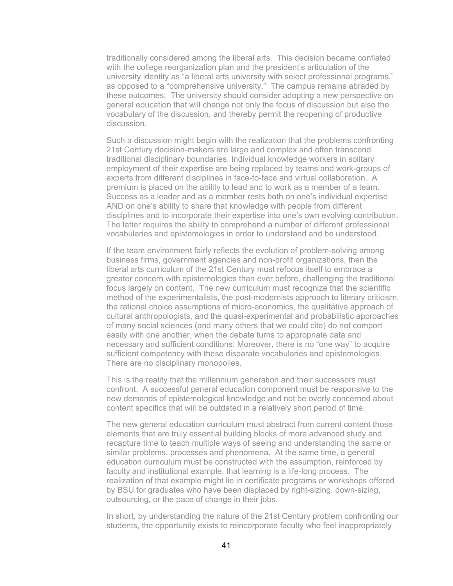traditionally considered among the liberal arts. This decision became conflated with the college reorganization plan and the president's articulation of the university identity as "a liberal arts university with select professional programs," as opposed to a "comprehensive university." The campus remains abraded by these outcomes. The university should consider adopting a new perspective on general education that will change not only the focus of discussion but also the vocabulary of the discussion, and thereby permit the reopening of productive discussion.

Such a discussion might begin with the realization that the problems confronting 21st Century decision-makers are large and complex and often transcend traditional disciplinary boundaries. Individual knowledge workers in solitary employment of their expertise are being replaced by teams and work-groups of experts from different disciplines in face-to-face and virtual collaboration. A premium is placed on the ability to lead and to work as a member of a team. Success as a leader and as a member rests both on one's individual expertise AND on one's ability to share that knowledge with people from different disciplines and to incorporate their expertise into one's own evolving contribution. The latter requires the ability to comprehend a number of different professional vocabularies and epistemologies in order to understand and be understood.

If the team environment fairly reflects the evolution of problem-solving among business firms, government agencies and non-profit organizations, then the liberal arts curriculum of the 21st Century must refocus itself to embrace a greater concern with epistemologies than ever before, challenging the traditional focus largely on content. The new curriculum must recognize that the scientific method of the experimentalists, the post-modernists approach to literary criticism, the rational choice assumptions of micro-economics, the qualitative approach of cultural anthropologists, and the quasi-experimental and probabilistic approaches of many social sciences (and many others that we could cite) do not comport easily with one another, when the debate turns to appropriate data and necessary and sufficient conditions. Moreover, there is no "one way" to acquire sufficient competency with these disparate vocabularies and epistemologies. There are no disciplinary monopolies.

This is the reality that the millennium generation and their successors must confront. A successful general education component must be responsive to the new demands of epistemological knowledge and not be overly concerned about content specifics that will be outdated in a relatively short period of time.

The new general education curriculum must abstract from current content those elements that are truly essential building blocks of more advanced study and recapture time to teach multiple ways of seeing and understanding the same or similar problems, processes and phenomena. At the same time, a general education curriculum must be constructed with the assumption, reinforced by faculty and institutional example, that learning is a life-long process. The realization of that example might lie in certificate programs or workshops offered by BSU for graduates who have been displaced by right-sizing, down-sizing, outsourcing, or the pace of change in their jobs.

In short, by understanding the nature of the 21st Century problem confronting our students, the opportunity exists to reincorporate faculty who feel inappropriately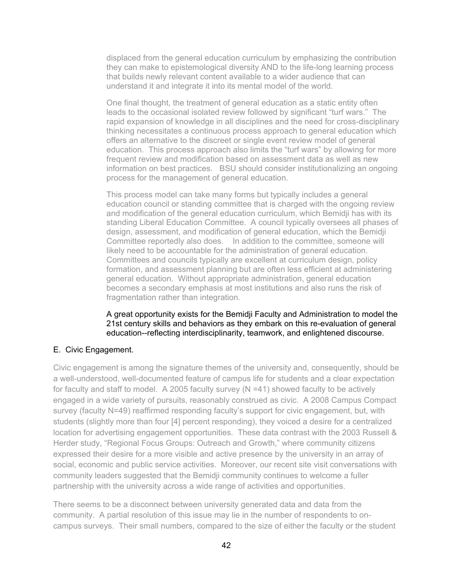displaced from the general education curriculum by emphasizing the contribution they can make to epistemological diversity AND to the life-long learning process that builds newly relevant content available to a wider audience that can understand it and integrate it into its mental model of the world.

One final thought, the treatment of general education as a static entity often leads to the occasional isolated review followed by significant "turf wars." The rapid expansion of knowledge in all disciplines and the need for cross-disciplinary thinking necessitates a continuous process approach to general education which offers an alternative to the discreet or single event review model of general education. This process approach also limits the "turf wars" by allowing for more frequent review and modification based on assessment data as well as new information on best practices. BSU should consider institutionalizing an ongoing process for the management of general education.

This process model can take many forms but typically includes a general education council or standing committee that is charged with the ongoing review and modification of the general education curriculum, which Bemidji has with its standing Liberal Education Committee. A council typically oversees all phases of design, assessment, and modification of general education, which the Bemidji Committee reportedly also does. In addition to the committee, someone will likely need to be accountable for the administration of general education. Committees and councils typically are excellent at curriculum design, policy formation, and assessment planning but are often less efficient at administering general education. Without appropriate administration, general education becomes a secondary emphasis at most institutions and also runs the risk of fragmentation rather than integration.

A great opportunity exists for the Bemidji Faculty and Administration to model the 21st century skills and behaviors as they embark on this re-evaluation of general education--reflecting interdisciplinarity, teamwork, and enlightened discourse.

## E. Civic Engagement.

Civic engagement is among the signature themes of the university and, consequently, should be a well-understood, well-documented feature of campus life for students and a clear expectation for faculty and staff to model. A 2005 faculty survey ( $N = 41$ ) showed faculty to be actively engaged in a wide variety of pursuits, reasonably construed as civic. A 2008 Campus Compact survey (faculty N=49) reaffirmed responding faculty's support for civic engagement, but, with students (slightly more than four [4] percent responding), they voiced a desire for a centralized location for advertising engagement opportunities. These data contrast with the 2003 Russell & Herder study, "Regional Focus Groups: Outreach and Growth," where community citizens expressed their desire for a more visible and active presence by the university in an array of social, economic and public service activities. Moreover, our recent site visit conversations with community leaders suggested that the Bemidji community continues to welcome a fuller partnership with the university across a wide range of activities and opportunities.

There seems to be a disconnect between university generated data and data from the community. A partial resolution of this issue may lie in the number of respondents to oncampus surveys. Their small numbers, compared to the size of either the faculty or the student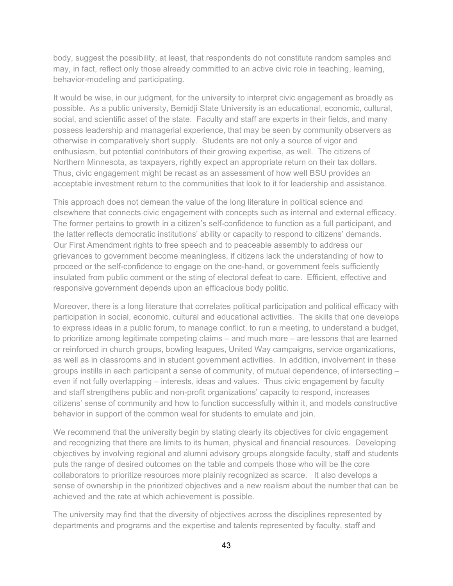body, suggest the possibility, at least, that respondents do not constitute random samples and may, in fact, reflect only those already committed to an active civic role in teaching, learning, behavior-modeling and participating.

It would be wise, in our judgment, for the university to interpret civic engagement as broadly as possible. As a public university, Bemidji State University is an educational, economic, cultural, social, and scientific asset of the state. Faculty and staff are experts in their fields, and many possess leadership and managerial experience, that may be seen by community observers as otherwise in comparatively short supply. Students are not only a source of vigor and enthusiasm, but potential contributors of their growing expertise, as well. The citizens of Northern Minnesota, as taxpayers, rightly expect an appropriate return on their tax dollars. Thus, civic engagement might be recast as an assessment of how well BSU provides an acceptable investment return to the communities that look to it for leadership and assistance.

This approach does not demean the value of the long literature in political science and elsewhere that connects civic engagement with concepts such as internal and external efficacy. The former pertains to growth in a citizen's self-confidence to function as a full participant, and the latter reflects democratic institutions' ability or capacity to respond to citizens' demands. Our First Amendment rights to free speech and to peaceable assembly to address our grievances to government become meaningless, if citizens lack the understanding of how to proceed or the self-confidence to engage on the one-hand, or government feels sufficiently insulated from public comment or the sting of electoral defeat to care. Efficient, effective and responsive government depends upon an efficacious body politic.

Moreover, there is a long literature that correlates political participation and political efficacy with participation in social, economic, cultural and educational activities. The skills that one develops to express ideas in a public forum, to manage conflict, to run a meeting, to understand a budget, to prioritize among legitimate competing claims – and much more – are lessons that are learned or reinforced in church groups, bowling leagues, United Way campaigns, service organizations, as well as in classrooms and in student government activities. In addition, involvement in these groups instills in each participant a sense of community, of mutual dependence, of intersecting – even if not fully overlapping – interests, ideas and values. Thus civic engagement by faculty and staff strengthens public and non-profit organizations' capacity to respond, increases citizens' sense of community and how to function successfully within it, and models constructive behavior in support of the common weal for students to emulate and join.

We recommend that the university begin by stating clearly its objectives for civic engagement and recognizing that there are limits to its human, physical and financial resources. Developing objectives by involving regional and alumni advisory groups alongside faculty, staff and students puts the range of desired outcomes on the table and compels those who will be the core collaborators to prioritize resources more plainly recognized as scarce. It also develops a sense of ownership in the prioritized objectives and a new realism about the number that can be achieved and the rate at which achievement is possible.

The university may find that the diversity of objectives across the disciplines represented by departments and programs and the expertise and talents represented by faculty, staff and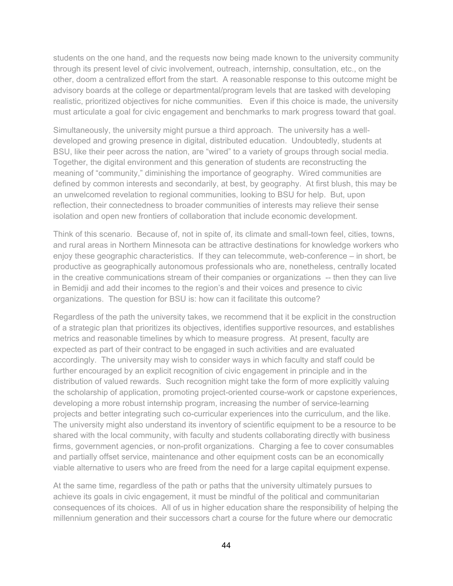students on the one hand, and the requests now being made known to the university community through its present level of civic involvement, outreach, internship, consultation, etc., on the other, doom a centralized effort from the start. A reasonable response to this outcome might be advisory boards at the college or departmental/program levels that are tasked with developing realistic, prioritized objectives for niche communities. Even if this choice is made, the university must articulate a goal for civic engagement and benchmarks to mark progress toward that goal.

Simultaneously, the university might pursue a third approach. The university has a welldeveloped and growing presence in digital, distributed education. Undoubtedly, students at BSU, like their peer across the nation, are "wired" to a variety of groups through social media. Together, the digital environment and this generation of students are reconstructing the meaning of "community," diminishing the importance of geography. Wired communities are defined by common interests and secondarily, at best, by geography. At first blush, this may be an unwelcomed revelation to regional communities, looking to BSU for help. But, upon reflection, their connectedness to broader communities of interests may relieve their sense isolation and open new frontiers of collaboration that include economic development.

Think of this scenario. Because of, not in spite of, its climate and small-town feel, cities, towns, and rural areas in Northern Minnesota can be attractive destinations for knowledge workers who enjoy these geographic characteristics. If they can telecommute, web-conference – in short, be productive as geographically autonomous professionals who are, nonetheless, centrally located in the creative communications stream of their companies or organizations -- then they can live in Bemidji and add their incomes to the region's and their voices and presence to civic organizations. The question for BSU is: how can it facilitate this outcome?

Regardless of the path the university takes, we recommend that it be explicit in the construction of a strategic plan that prioritizes its objectives, identifies supportive resources, and establishes metrics and reasonable timelines by which to measure progress. At present, faculty are expected as part of their contract to be engaged in such activities and are evaluated accordingly. The university may wish to consider ways in which faculty and staff could be further encouraged by an explicit recognition of civic engagement in principle and in the distribution of valued rewards. Such recognition might take the form of more explicitly valuing the scholarship of application, promoting project-oriented course-work or capstone experiences, developing a more robust internship program, increasing the number of service-learning projects and better integrating such co-curricular experiences into the curriculum, and the like. The university might also understand its inventory of scientific equipment to be a resource to be shared with the local community, with faculty and students collaborating directly with business firms, government agencies, or non-profit organizations. Charging a fee to cover consumables and partially offset service, maintenance and other equipment costs can be an economically viable alternative to users who are freed from the need for a large capital equipment expense.

At the same time, regardless of the path or paths that the university ultimately pursues to achieve its goals in civic engagement, it must be mindful of the political and communitarian consequences of its choices. All of us in higher education share the responsibility of helping the millennium generation and their successors chart a course for the future where our democratic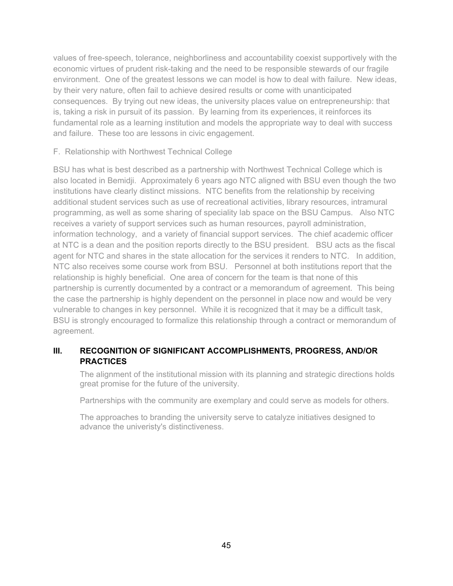values of free-speech, tolerance, neighborliness and accountability coexist supportively with the economic virtues of prudent risk-taking and the need to be responsible stewards of our fragile environment. One of the greatest lessons we can model is how to deal with failure. New ideas, by their very nature, often fail to achieve desired results or come with unanticipated consequences. By trying out new ideas, the university places value on entrepreneurship: that is, taking a risk in pursuit of its passion. By learning from its experiences, it reinforces its fundamental role as a learning institution and models the appropriate way to deal with success and failure. These too are lessons in civic engagement.

F. Relationship with Northwest Technical College

BSU has what is best described as a partnership with Northwest Technical College which is also located in Bemidji. Approximately 6 years ago NTC aligned with BSU even though the two institutions have clearly distinct missions. NTC benefits from the relationship by receiving additional student services such as use of recreational activities, library resources, intramural programming, as well as some sharing of speciality lab space on the BSU Campus. Also NTC receives a variety of support services such as human resources, payroll administration, information technology, and a variety of financial support services. The chief academic officer at NTC is a dean and the position reports directly to the BSU president. BSU acts as the fiscal agent for NTC and shares in the state allocation for the services it renders to NTC. In addition, NTC also receives some course work from BSU. Personnel at both institutions report that the relationship is highly beneficial. One area of concern for the team is that none of this partnership is currently documented by a contract or a memorandum of agreement. This being the case the partnership is highly dependent on the personnel in place now and would be very vulnerable to changes in key personnel. While it is recognized that it may be a difficult task, BSU is strongly encouraged to formalize this relationship through a contract or memorandum of agreement.

# **III. RECOGNITION OF SIGNIFICANT ACCOMPLISHMENTS, PROGRESS, AND/OR PRACTICES**

The alignment of the institutional mission with its planning and strategic directions holds great promise for the future of the university.

Partnerships with the community are exemplary and could serve as models for others.

The approaches to branding the university serve to catalyze initiatives designed to advance the univeristy's distinctiveness.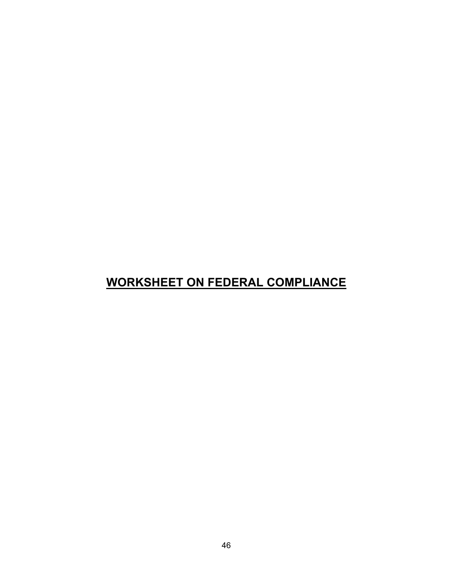# **WORKSHEET ON FEDERAL COMPLIANCE**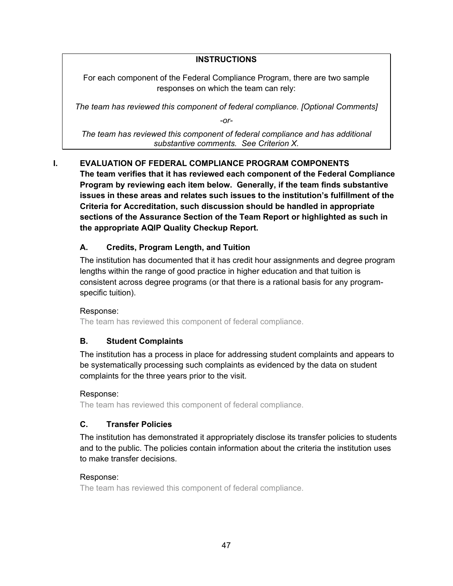# **INSTRUCTIONS**

For each component of the Federal Compliance Program, there are two sample responses on which the team can rely:

*The team has reviewed this component of federal compliance. [Optional Comments]*

*-or-*

*The team has reviewed this component of federal compliance and has additional substantive comments. See Criterion X.*

# **I. EVALUATION OF FEDERAL COMPLIANCE PROGRAM COMPONENTS**

**The team verifies that it has reviewed each component of the Federal Compliance Program by reviewing each item below. Generally, if the team finds substantive issues in these areas and relates such issues to the institution's fulfillment of the Criteria for Accreditation, such discussion should be handled in appropriate sections of the Assurance Section of the Team Report or highlighted as such in the appropriate AQIP Quality Checkup Report.**

# **A. Credits, Program Length, and Tuition**

The institution has documented that it has credit hour assignments and degree program lengths within the range of good practice in higher education and that tuition is consistent across degree programs (or that there is a rational basis for any programspecific tuition).

# Response:

The team has reviewed this component of federal compliance.

# **B. Student Complaints**

The institution has a process in place for addressing student complaints and appears to be systematically processing such complaints as evidenced by the data on student complaints for the three years prior to the visit.

# Response:

The team has reviewed this component of federal compliance.

# **C. Transfer Policies**

The institution has demonstrated it appropriately disclose its transfer policies to students and to the public. The policies contain information about the criteria the institution uses to make transfer decisions.

# Response:

The team has reviewed this component of federal compliance.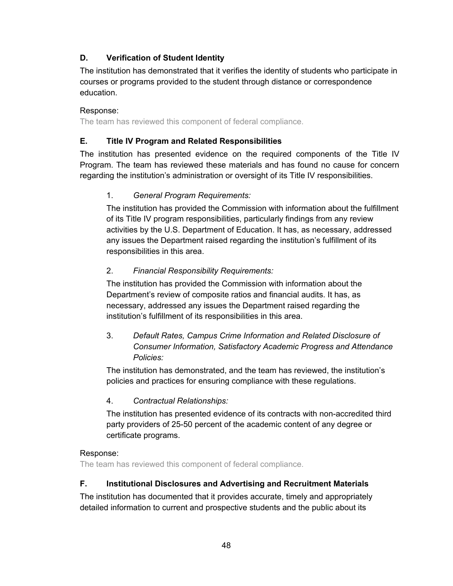# **D. Verification of Student Identity**

The institution has demonstrated that it verifies the identity of students who participate in courses or programs provided to the student through distance or correspondence education.

# Response:

The team has reviewed this component of federal compliance.

# **E. Title IV Program and Related Responsibilities**

The institution has presented evidence on the required components of the Title IV Program. The team has reviewed these materials and has found no cause for concern regarding the institution's administration or oversight of its Title IV responsibilities.

# 1. *General Program Requirements:*

The institution has provided the Commission with information about the fulfillment of its Title IV program responsibilities, particularly findings from any review activities by the U.S. Department of Education. It has, as necessary, addressed any issues the Department raised regarding the institution's fulfillment of its responsibilities in this area.

# 2. *Financial Responsibility Requirements:*

The institution has provided the Commission with information about the Department's review of composite ratios and financial audits. It has, as necessary, addressed any issues the Department raised regarding the institution's fulfillment of its responsibilities in this area.

# 3. *Default Rates, Campus Crime Information and Related Disclosure of Consumer Information, Satisfactory Academic Progress and Attendance Policies:*

The institution has demonstrated, and the team has reviewed, the institution's policies and practices for ensuring compliance with these regulations.

# 4. *Contractual Relationships:*

The institution has presented evidence of its contracts with non-accredited third party providers of 25-50 percent of the academic content of any degree or certificate programs.

# Response:

The team has reviewed this component of federal compliance.

# **F. Institutional Disclosures and Advertising and Recruitment Materials**

The institution has documented that it provides accurate, timely and appropriately detailed information to current and prospective students and the public about its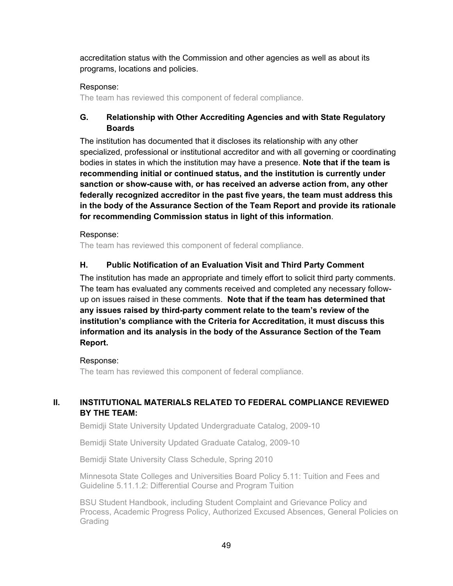accreditation status with the Commission and other agencies as well as about its programs, locations and policies.

# Response:

The team has reviewed this component of federal compliance.

# **G. Relationship with Other Accrediting Agencies and with State Regulatory Boards**

The institution has documented that it discloses its relationship with any other specialized, professional or institutional accreditor and with all governing or coordinating bodies in states in which the institution may have a presence. **Note that if the team is recommending initial or continued status, and the institution is currently under sanction or show-cause with, or has received an adverse action from, any other federally recognized accreditor in the past five years, the team must address this in the body of the Assurance Section of the Team Report and provide its rationale for recommending Commission status in light of this information**.

## Response:

The team has reviewed this component of federal compliance.

# **H. Public Notification of an Evaluation Visit and Third Party Comment**

The institution has made an appropriate and timely effort to solicit third party comments. The team has evaluated any comments received and completed any necessary followup on issues raised in these comments. **Note that if the team has determined that any issues raised by third-party comment relate to the team's review of the institution's compliance with the Criteria for Accreditation, it must discuss this information and its analysis in the body of the Assurance Section of the Team Report.**

## Response:

The team has reviewed this component of federal compliance.

# **II. INSTITUTIONAL MATERIALS RELATED TO FEDERAL COMPLIANCE REVIEWED BY THE TEAM:**

Bemidji State University Updated Undergraduate Catalog, 2009-10

Bemidji State University Updated Graduate Catalog, 2009-10

Bemidji State University Class Schedule, Spring 2010

Minnesota State Colleges and Universities Board Policy 5.11: Tuition and Fees and Guideline 5.11.1.2: Differential Course and Program Tuition

BSU Student Handbook, including Student Complaint and Grievance Policy and Process, Academic Progress Policy, Authorized Excused Absences, General Policies on Grading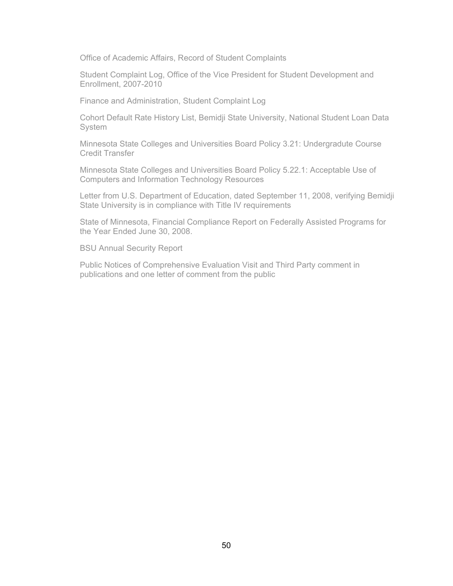Office of Academic Affairs, Record of Student Complaints

Student Complaint Log, Office of the Vice President for Student Development and Enrollment, 2007-2010

Finance and Administration, Student Complaint Log

Cohort Default Rate History List, Bemidji State University, National Student Loan Data **System** 

Minnesota State Colleges and Universities Board Policy 3.21: Undergradute Course Credit Transfer

Minnesota State Colleges and Universities Board Policy 5.22.1: Acceptable Use of Computers and Information Technology Resources

Letter from U.S. Department of Education, dated September 11, 2008, verifying Bemidji State University is in compliance with Title IV requirements

State of Minnesota, Financial Compliance Report on Federally Assisted Programs for the Year Ended June 30, 2008.

BSU Annual Security Report

Public Notices of Comprehensive Evaluation Visit and Third Party comment in publications and one letter of comment from the public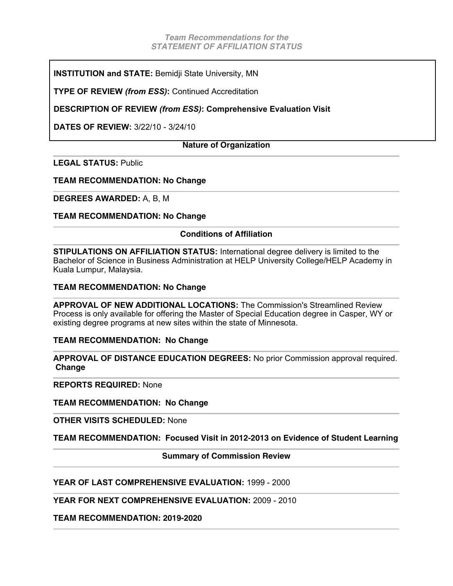**INSTITUTION and STATE:** Bemidji State University, MN

**TYPE OF REVIEW** *(from ESS)***:** Continued Accreditation

**DESCRIPTION OF REVIEW** *(from ESS)***: Comprehensive Evaluation Visit** 

**DATES OF REVIEW:** 3/22/10 - 3/24/10

#### **Nature of Organization**

**LEGAL STATUS:** Public

**TEAM RECOMMENDATION: No Change** 

**DEGREES AWARDED:** A, B, M

**TEAM RECOMMENDATION: No Change** 

#### **Conditions of Affiliation**

**STIPULATIONS ON AFFILIATION STATUS:** International degree delivery is limited to the Bachelor of Science in Business Administration at HELP University College/HELP Academy in Kuala Lumpur, Malaysia.

#### **TEAM RECOMMENDATION: No Change**

**APPROVAL OF NEW ADDITIONAL LOCATIONS:** The Commission's Streamlined Review Process is only available for offering the Master of Special Education degree in Casper, WY or existing degree programs at new sites within the state of Minnesota.

#### **TEAM RECOMMENDATION: No Change**

**APPROVAL OF DISTANCE EDUCATION DEGREES:** No prior Commission approval required.  **Change**

**REPORTS REQUIRED:** None

**TEAM RECOMMENDATION: No Change**

**OTHER VISITS SCHEDULED:** None

**TEAM RECOMMENDATION: Focused Visit in 2012-2013 on Evidence of Student Learning** 

**Summary of Commission Review**

**YEAR OF LAST COMPREHENSIVE EVALUATION:** 1999 - 2000

**YEAR FOR NEXT COMPREHENSIVE EVALUATION:** 2009 - 2010

**TEAM RECOMMENDATION: 2019-2020**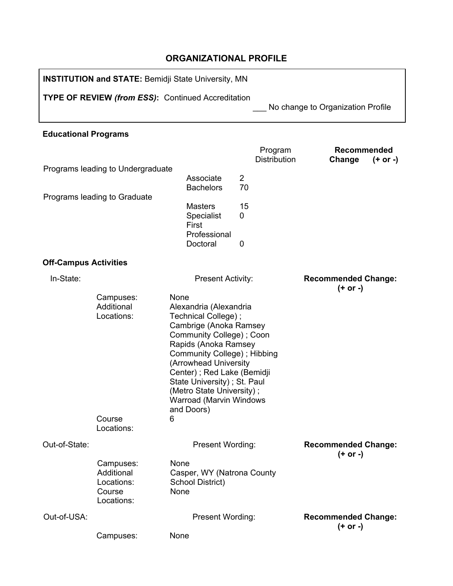# **ORGANIZATIONAL PROFILE**

**INSTITUTION and STATE:** Bemidji State University, MN **TYPE OF REVIEW** *(from ESS)***:** Continued Accreditation \_\_\_ No change to Organization Profile **Educational Programs** Program **Distribution Recommended Change (+ or -)** Programs leading to Undergraduate Associate 2<br>Bachelors 70 **Bachelors** Programs leading to Graduate Masters 15 Specialist 0 First Professional Doctoral 0 **Off-Campus Activities** In-State: Present Activity: **Recommended Change: (+ or -)** Campuses: None Additional Locations: Alexandria (Alexandria Technical College) ; Cambrige (Anoka Ramsey Community College) ; Coon

|               | Course<br>Locations:                                          | Rapids (Anoka Ramsey<br>Community College); Hibbing<br>(Arrowhead University<br>Center); Red Lake (Bemidji<br>State University); St. Paul<br>(Metro State University);<br><b>Warroad (Marvin Windows</b><br>and Doors)<br>6 |                                        |
|---------------|---------------------------------------------------------------|-----------------------------------------------------------------------------------------------------------------------------------------------------------------------------------------------------------------------------|----------------------------------------|
| Out-of-State: |                                                               | <b>Present Wording:</b>                                                                                                                                                                                                     | <b>Recommended Change:</b><br>(+ or -) |
|               | Campuses:<br>Additional<br>Locations:<br>Course<br>Locations: | None<br>Casper, WY (Natrona County)<br>School District)<br>None                                                                                                                                                             |                                        |
| Out-of-USA:   |                                                               | <b>Present Wording:</b>                                                                                                                                                                                                     | <b>Recommended Change:</b>             |
|               | Campuses:                                                     | None                                                                                                                                                                                                                        | (+ or -)                               |